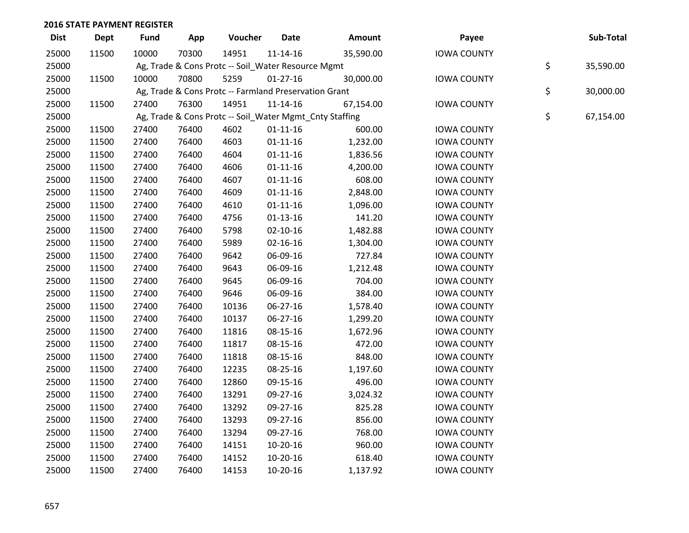| <b>Dist</b> | <b>Dept</b> | <b>Fund</b> | App   | Voucher                                                 | <b>Date</b>    | Amount    | Payee              | Sub-Total       |
|-------------|-------------|-------------|-------|---------------------------------------------------------|----------------|-----------|--------------------|-----------------|
| 25000       | 11500       | 10000       | 70300 | 14951                                                   | $11 - 14 - 16$ | 35,590.00 | <b>IOWA COUNTY</b> |                 |
| 25000       |             |             |       | Ag, Trade & Cons Protc -- Soil_Water Resource Mgmt      |                |           |                    | \$<br>35,590.00 |
| 25000       | 11500       | 10000       | 70800 | 5259                                                    | $01 - 27 - 16$ | 30,000.00 | <b>IOWA COUNTY</b> |                 |
| 25000       |             |             |       | Ag, Trade & Cons Protc -- Farmland Preservation Grant   |                |           |                    | \$<br>30,000.00 |
| 25000       | 11500       | 27400       | 76300 | 14951                                                   | $11 - 14 - 16$ | 67,154.00 | <b>IOWA COUNTY</b> |                 |
| 25000       |             |             |       | Ag, Trade & Cons Protc -- Soil_Water Mgmt_Cnty Staffing |                |           |                    | \$<br>67,154.00 |
| 25000       | 11500       | 27400       | 76400 | 4602                                                    | $01 - 11 - 16$ | 600.00    | <b>IOWA COUNTY</b> |                 |
| 25000       | 11500       | 27400       | 76400 | 4603                                                    | $01 - 11 - 16$ | 1,232.00  | <b>IOWA COUNTY</b> |                 |
| 25000       | 11500       | 27400       | 76400 | 4604                                                    | $01 - 11 - 16$ | 1,836.56  | <b>IOWA COUNTY</b> |                 |
| 25000       | 11500       | 27400       | 76400 | 4606                                                    | $01 - 11 - 16$ | 4,200.00  | <b>IOWA COUNTY</b> |                 |
| 25000       | 11500       | 27400       | 76400 | 4607                                                    | $01 - 11 - 16$ | 608.00    | <b>IOWA COUNTY</b> |                 |
| 25000       | 11500       | 27400       | 76400 | 4609                                                    | $01 - 11 - 16$ | 2,848.00  | <b>IOWA COUNTY</b> |                 |
| 25000       | 11500       | 27400       | 76400 | 4610                                                    | $01 - 11 - 16$ | 1,096.00  | <b>IOWA COUNTY</b> |                 |
| 25000       | 11500       | 27400       | 76400 | 4756                                                    | $01-13-16$     | 141.20    | <b>IOWA COUNTY</b> |                 |
| 25000       | 11500       | 27400       | 76400 | 5798                                                    | $02 - 10 - 16$ | 1,482.88  | <b>IOWA COUNTY</b> |                 |
| 25000       | 11500       | 27400       | 76400 | 5989                                                    | 02-16-16       | 1,304.00  | <b>IOWA COUNTY</b> |                 |
| 25000       | 11500       | 27400       | 76400 | 9642                                                    | 06-09-16       | 727.84    | <b>IOWA COUNTY</b> |                 |
| 25000       | 11500       | 27400       | 76400 | 9643                                                    | 06-09-16       | 1,212.48  | <b>IOWA COUNTY</b> |                 |
| 25000       | 11500       | 27400       | 76400 | 9645                                                    | 06-09-16       | 704.00    | <b>IOWA COUNTY</b> |                 |
| 25000       | 11500       | 27400       | 76400 | 9646                                                    | 06-09-16       | 384.00    | <b>IOWA COUNTY</b> |                 |
| 25000       | 11500       | 27400       | 76400 | 10136                                                   | 06-27-16       | 1,578.40  | <b>IOWA COUNTY</b> |                 |
| 25000       | 11500       | 27400       | 76400 | 10137                                                   | 06-27-16       | 1,299.20  | <b>IOWA COUNTY</b> |                 |
| 25000       | 11500       | 27400       | 76400 | 11816                                                   | 08-15-16       | 1,672.96  | <b>IOWA COUNTY</b> |                 |
| 25000       | 11500       | 27400       | 76400 | 11817                                                   | 08-15-16       | 472.00    | <b>IOWA COUNTY</b> |                 |
| 25000       | 11500       | 27400       | 76400 | 11818                                                   | 08-15-16       | 848.00    | <b>IOWA COUNTY</b> |                 |
| 25000       | 11500       | 27400       | 76400 | 12235                                                   | 08-25-16       | 1,197.60  | <b>IOWA COUNTY</b> |                 |
| 25000       | 11500       | 27400       | 76400 | 12860                                                   | 09-15-16       | 496.00    | <b>IOWA COUNTY</b> |                 |
| 25000       | 11500       | 27400       | 76400 | 13291                                                   | 09-27-16       | 3,024.32  | <b>IOWA COUNTY</b> |                 |
| 25000       | 11500       | 27400       | 76400 | 13292                                                   | 09-27-16       | 825.28    | <b>IOWA COUNTY</b> |                 |
| 25000       | 11500       | 27400       | 76400 | 13293                                                   | 09-27-16       | 856.00    | <b>IOWA COUNTY</b> |                 |
| 25000       | 11500       | 27400       | 76400 | 13294                                                   | 09-27-16       | 768.00    | <b>IOWA COUNTY</b> |                 |
| 25000       | 11500       | 27400       | 76400 | 14151                                                   | 10-20-16       | 960.00    | <b>IOWA COUNTY</b> |                 |
| 25000       | 11500       | 27400       | 76400 | 14152                                                   | $10-20-16$     | 618.40    | <b>IOWA COUNTY</b> |                 |
| 25000       | 11500       | 27400       | 76400 | 14153                                                   | 10-20-16       | 1,137.92  | <b>IOWA COUNTY</b> |                 |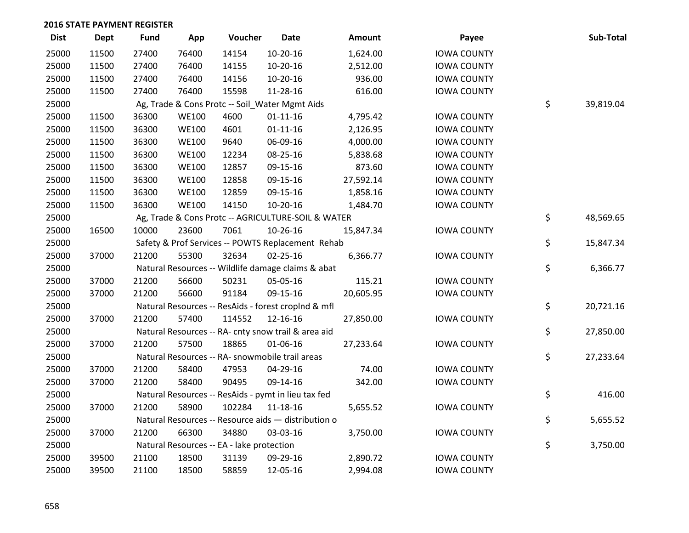| <b>Dist</b> | Dept  | <b>Fund</b> | App          | Voucher                                   | <b>Date</b>                                         | <b>Amount</b> | Payee              | Sub-Total       |
|-------------|-------|-------------|--------------|-------------------------------------------|-----------------------------------------------------|---------------|--------------------|-----------------|
| 25000       | 11500 | 27400       | 76400        | 14154                                     | 10-20-16                                            | 1,624.00      | <b>IOWA COUNTY</b> |                 |
| 25000       | 11500 | 27400       | 76400        | 14155                                     | 10-20-16                                            | 2,512.00      | <b>IOWA COUNTY</b> |                 |
| 25000       | 11500 | 27400       | 76400        | 14156                                     | 10-20-16                                            | 936.00        | <b>IOWA COUNTY</b> |                 |
| 25000       | 11500 | 27400       | 76400        | 15598                                     | 11-28-16                                            | 616.00        | <b>IOWA COUNTY</b> |                 |
| 25000       |       |             |              |                                           | Ag, Trade & Cons Protc -- Soil_Water Mgmt Aids      |               |                    | \$<br>39,819.04 |
| 25000       | 11500 | 36300       | <b>WE100</b> | 4600                                      | $01 - 11 - 16$                                      | 4,795.42      | <b>IOWA COUNTY</b> |                 |
| 25000       | 11500 | 36300       | <b>WE100</b> | 4601                                      | $01 - 11 - 16$                                      | 2,126.95      | <b>IOWA COUNTY</b> |                 |
| 25000       | 11500 | 36300       | <b>WE100</b> | 9640                                      | 06-09-16                                            | 4,000.00      | <b>IOWA COUNTY</b> |                 |
| 25000       | 11500 | 36300       | <b>WE100</b> | 12234                                     | 08-25-16                                            | 5,838.68      | <b>IOWA COUNTY</b> |                 |
| 25000       | 11500 | 36300       | <b>WE100</b> | 12857                                     | 09-15-16                                            | 873.60        | <b>IOWA COUNTY</b> |                 |
| 25000       | 11500 | 36300       | <b>WE100</b> | 12858                                     | 09-15-16                                            | 27,592.14     | <b>IOWA COUNTY</b> |                 |
| 25000       | 11500 | 36300       | <b>WE100</b> | 12859                                     | 09-15-16                                            | 1,858.16      | <b>IOWA COUNTY</b> |                 |
| 25000       | 11500 | 36300       | <b>WE100</b> | 14150                                     | 10-20-16                                            | 1,484.70      | <b>IOWA COUNTY</b> |                 |
| 25000       |       |             |              |                                           | Ag, Trade & Cons Protc -- AGRICULTURE-SOIL & WATER  |               |                    | \$<br>48,569.65 |
| 25000       | 16500 | 10000       | 23600        | 7061                                      | 10-26-16                                            | 15,847.34     | <b>IOWA COUNTY</b> |                 |
| 25000       |       |             |              |                                           | Safety & Prof Services -- POWTS Replacement Rehab   |               |                    | \$<br>15,847.34 |
| 25000       | 37000 | 21200       | 55300        | 32634                                     | $02 - 25 - 16$                                      | 6,366.77      | <b>IOWA COUNTY</b> |                 |
| 25000       |       |             |              |                                           | Natural Resources -- Wildlife damage claims & abat  |               |                    | \$<br>6,366.77  |
| 25000       | 37000 | 21200       | 56600        | 50231                                     | 05-05-16                                            | 115.21        | <b>IOWA COUNTY</b> |                 |
| 25000       | 37000 | 21200       | 56600        | 91184                                     | 09-15-16                                            | 20,605.95     | <b>IOWA COUNTY</b> |                 |
| 25000       |       |             |              |                                           | Natural Resources -- ResAids - forest croplnd & mfl |               |                    | \$<br>20,721.16 |
| 25000       | 37000 | 21200       | 57400        | 114552                                    | 12-16-16                                            | 27,850.00     | <b>IOWA COUNTY</b> |                 |
| 25000       |       |             |              |                                           | Natural Resources -- RA- cnty snow trail & area aid |               |                    | \$<br>27,850.00 |
| 25000       | 37000 | 21200       | 57500        | 18865                                     | 01-06-16                                            | 27,233.64     | <b>IOWA COUNTY</b> |                 |
| 25000       |       |             |              |                                           | Natural Resources -- RA- snowmobile trail areas     |               |                    | \$<br>27,233.64 |
| 25000       | 37000 | 21200       | 58400        | 47953                                     | 04-29-16                                            | 74.00         | <b>IOWA COUNTY</b> |                 |
| 25000       | 37000 | 21200       | 58400        | 90495                                     | 09-14-16                                            | 342.00        | <b>IOWA COUNTY</b> |                 |
| 25000       |       |             |              |                                           | Natural Resources -- ResAids - pymt in lieu tax fed |               |                    | \$<br>416.00    |
| 25000       | 37000 | 21200       | 58900        | 102284                                    | 11-18-16                                            | 5,655.52      | <b>IOWA COUNTY</b> |                 |
| 25000       |       |             |              |                                           | Natural Resources -- Resource aids - distribution o |               |                    | \$<br>5,655.52  |
| 25000       | 37000 | 21200       | 66300        | 34880                                     | 03-03-16                                            | 3,750.00      | <b>IOWA COUNTY</b> |                 |
| 25000       |       |             |              | Natural Resources -- EA - lake protection |                                                     |               |                    | \$<br>3,750.00  |
| 25000       | 39500 | 21100       | 18500        | 31139                                     | 09-29-16                                            | 2,890.72      | <b>IOWA COUNTY</b> |                 |
| 25000       | 39500 | 21100       | 18500        | 58859                                     | 12-05-16                                            | 2,994.08      | <b>IOWA COUNTY</b> |                 |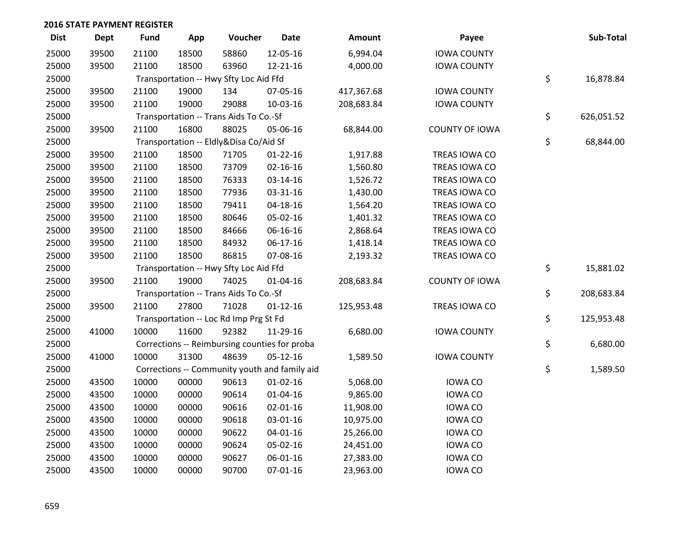| <b>Dist</b> | Dept  | <b>Fund</b> | App   | Voucher                                | <b>Date</b>                                   | Amount     | Payee                 | Sub-Total        |
|-------------|-------|-------------|-------|----------------------------------------|-----------------------------------------------|------------|-----------------------|------------------|
| 25000       | 39500 | 21100       | 18500 | 58860                                  | 12-05-16                                      | 6,994.04   | <b>IOWA COUNTY</b>    |                  |
| 25000       | 39500 | 21100       | 18500 | 63960                                  | 12-21-16                                      | 4,000.00   | <b>IOWA COUNTY</b>    |                  |
| 25000       |       |             |       | Transportation -- Hwy Sfty Loc Aid Ffd |                                               |            |                       | \$<br>16,878.84  |
| 25000       | 39500 | 21100       | 19000 | 134                                    | 07-05-16                                      | 417,367.68 | <b>IOWA COUNTY</b>    |                  |
| 25000       | 39500 | 21100       | 19000 | 29088                                  | 10-03-16                                      | 208,683.84 | <b>IOWA COUNTY</b>    |                  |
| 25000       |       |             |       | Transportation -- Trans Aids To Co.-Sf |                                               |            |                       | \$<br>626,051.52 |
| 25000       | 39500 | 21100       | 16800 | 88025                                  | 05-06-16                                      | 68,844.00  | <b>COUNTY OF IOWA</b> |                  |
| 25000       |       |             |       | Transportation -- Eldly&Disa Co/Aid Sf |                                               |            |                       | \$<br>68,844.00  |
| 25000       | 39500 | 21100       | 18500 | 71705                                  | $01 - 22 - 16$                                | 1,917.88   | TREAS IOWA CO         |                  |
| 25000       | 39500 | 21100       | 18500 | 73709                                  | $02 - 16 - 16$                                | 1,560.80   | TREAS IOWA CO         |                  |
| 25000       | 39500 | 21100       | 18500 | 76333                                  | 03-14-16                                      | 1,526.72   | TREAS IOWA CO         |                  |
| 25000       | 39500 | 21100       | 18500 | 77936                                  | 03-31-16                                      | 1,430.00   | TREAS IOWA CO         |                  |
| 25000       | 39500 | 21100       | 18500 | 79411                                  | $04 - 18 - 16$                                | 1,564.20   | TREAS IOWA CO         |                  |
| 25000       | 39500 | 21100       | 18500 | 80646                                  | 05-02-16                                      | 1,401.32   | TREAS IOWA CO         |                  |
| 25000       | 39500 | 21100       | 18500 | 84666                                  | 06-16-16                                      | 2,868.64   | TREAS IOWA CO         |                  |
| 25000       | 39500 | 21100       | 18500 | 84932                                  | 06-17-16                                      | 1,418.14   | TREAS IOWA CO         |                  |
| 25000       | 39500 | 21100       | 18500 | 86815                                  | 07-08-16                                      | 2,193.32   | TREAS IOWA CO         |                  |
| 25000       |       |             |       | Transportation -- Hwy Sfty Loc Aid Ffd |                                               |            |                       | \$<br>15,881.02  |
| 25000       | 39500 | 21100       | 19000 | 74025                                  | $01 - 04 - 16$                                | 208,683.84 | <b>COUNTY OF IOWA</b> |                  |
| 25000       |       |             |       | Transportation -- Trans Aids To Co.-Sf |                                               |            |                       | \$<br>208,683.84 |
| 25000       | 39500 | 21100       | 27800 | 71028                                  | $01 - 12 - 16$                                | 125,953.48 | TREAS IOWA CO         |                  |
| 25000       |       |             |       | Transportation -- Loc Rd Imp Prg St Fd |                                               |            |                       | \$<br>125,953.48 |
| 25000       | 41000 | 10000       | 11600 | 92382                                  | 11-29-16                                      | 6,680.00   | <b>IOWA COUNTY</b>    |                  |
| 25000       |       |             |       |                                        | Corrections -- Reimbursing counties for proba |            |                       | \$<br>6,680.00   |
| 25000       | 41000 | 10000       | 31300 | 48639                                  | $05-12-16$                                    | 1,589.50   | <b>IOWA COUNTY</b>    |                  |
| 25000       |       |             |       |                                        | Corrections -- Community youth and family aid |            |                       | \$<br>1,589.50   |
| 25000       | 43500 | 10000       | 00000 | 90613                                  | $01 - 02 - 16$                                | 5,068.00   | <b>IOWA CO</b>        |                  |
| 25000       | 43500 | 10000       | 00000 | 90614                                  | $01 - 04 - 16$                                | 9,865.00   | <b>IOWA CO</b>        |                  |
| 25000       | 43500 | 10000       | 00000 | 90616                                  | $02 - 01 - 16$                                | 11,908.00  | <b>IOWA CO</b>        |                  |
| 25000       | 43500 | 10000       | 00000 | 90618                                  | 03-01-16                                      | 10,975.00  | <b>IOWA CO</b>        |                  |
| 25000       | 43500 | 10000       | 00000 | 90622                                  | $04 - 01 - 16$                                | 25,266.00  | <b>IOWA CO</b>        |                  |
| 25000       | 43500 | 10000       | 00000 | 90624                                  | 05-02-16                                      | 24,451.00  | <b>IOWA CO</b>        |                  |
| 25000       | 43500 | 10000       | 00000 | 90627                                  | 06-01-16                                      | 27,383.00  | <b>IOWA CO</b>        |                  |
| 25000       | 43500 | 10000       | 00000 | 90700                                  | 07-01-16                                      | 23,963.00  | <b>IOWA CO</b>        |                  |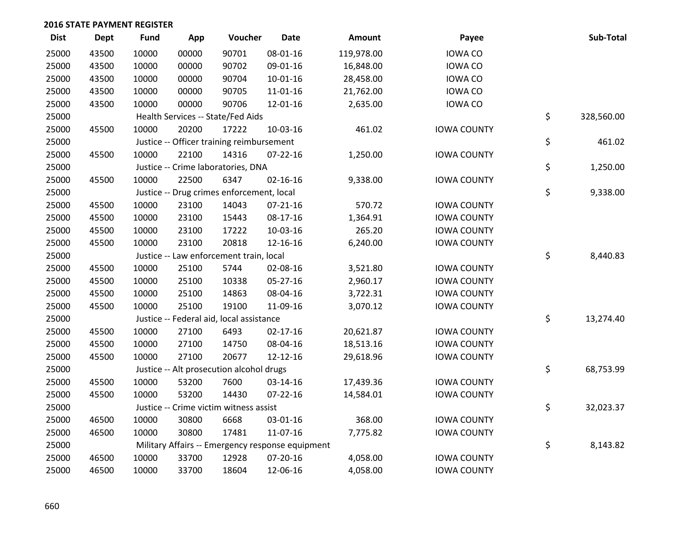| <b>Dist</b> | <b>Dept</b> | Fund  | App   | Voucher                                          | <b>Date</b>    | Amount     | Payee              | Sub-Total        |
|-------------|-------------|-------|-------|--------------------------------------------------|----------------|------------|--------------------|------------------|
| 25000       | 43500       | 10000 | 00000 | 90701                                            | 08-01-16       | 119,978.00 | <b>IOWA CO</b>     |                  |
| 25000       | 43500       | 10000 | 00000 | 90702                                            | 09-01-16       | 16,848.00  | <b>IOWA CO</b>     |                  |
| 25000       | 43500       | 10000 | 00000 | 90704                                            | $10-01-16$     | 28,458.00  | <b>IOWA CO</b>     |                  |
| 25000       | 43500       | 10000 | 00000 | 90705                                            | 11-01-16       | 21,762.00  | <b>IOWA CO</b>     |                  |
| 25000       | 43500       | 10000 | 00000 | 90706                                            | 12-01-16       | 2,635.00   | <b>IOWA CO</b>     |                  |
| 25000       |             |       |       | Health Services -- State/Fed Aids                |                |            |                    | \$<br>328,560.00 |
| 25000       | 45500       | 10000 | 20200 | 17222                                            | 10-03-16       | 461.02     | <b>IOWA COUNTY</b> |                  |
| 25000       |             |       |       | Justice -- Officer training reimbursement        |                |            |                    | \$<br>461.02     |
| 25000       | 45500       | 10000 | 22100 | 14316                                            | $07 - 22 - 16$ | 1,250.00   | <b>IOWA COUNTY</b> |                  |
| 25000       |             |       |       | Justice -- Crime laboratories, DNA               |                |            |                    | \$<br>1,250.00   |
| 25000       | 45500       | 10000 | 22500 | 6347                                             | $02 - 16 - 16$ | 9,338.00   | <b>IOWA COUNTY</b> |                  |
| 25000       |             |       |       | Justice -- Drug crimes enforcement, local        |                |            |                    | \$<br>9,338.00   |
| 25000       | 45500       | 10000 | 23100 | 14043                                            | $07 - 21 - 16$ | 570.72     | <b>IOWA COUNTY</b> |                  |
| 25000       | 45500       | 10000 | 23100 | 15443                                            | 08-17-16       | 1,364.91   | <b>IOWA COUNTY</b> |                  |
| 25000       | 45500       | 10000 | 23100 | 17222                                            | 10-03-16       | 265.20     | <b>IOWA COUNTY</b> |                  |
| 25000       | 45500       | 10000 | 23100 | 20818                                            | 12-16-16       | 6,240.00   | <b>IOWA COUNTY</b> |                  |
| 25000       |             |       |       | Justice -- Law enforcement train, local          |                |            |                    | \$<br>8,440.83   |
| 25000       | 45500       | 10000 | 25100 | 5744                                             | 02-08-16       | 3,521.80   | <b>IOWA COUNTY</b> |                  |
| 25000       | 45500       | 10000 | 25100 | 10338                                            | 05-27-16       | 2,960.17   | <b>IOWA COUNTY</b> |                  |
| 25000       | 45500       | 10000 | 25100 | 14863                                            | 08-04-16       | 3,722.31   | <b>IOWA COUNTY</b> |                  |
| 25000       | 45500       | 10000 | 25100 | 19100                                            | 11-09-16       | 3,070.12   | <b>IOWA COUNTY</b> |                  |
| 25000       |             |       |       | Justice -- Federal aid, local assistance         |                |            |                    | \$<br>13,274.40  |
| 25000       | 45500       | 10000 | 27100 | 6493                                             | $02 - 17 - 16$ | 20,621.87  | <b>IOWA COUNTY</b> |                  |
| 25000       | 45500       | 10000 | 27100 | 14750                                            | 08-04-16       | 18,513.16  | <b>IOWA COUNTY</b> |                  |
| 25000       | 45500       | 10000 | 27100 | 20677                                            | 12-12-16       | 29,618.96  | <b>IOWA COUNTY</b> |                  |
| 25000       |             |       |       | Justice -- Alt prosecution alcohol drugs         |                |            |                    | \$<br>68,753.99  |
| 25000       | 45500       | 10000 | 53200 | 7600                                             | 03-14-16       | 17,439.36  | <b>IOWA COUNTY</b> |                  |
| 25000       | 45500       | 10000 | 53200 | 14430                                            | $07 - 22 - 16$ | 14,584.01  | <b>IOWA COUNTY</b> |                  |
| 25000       |             |       |       | Justice -- Crime victim witness assist           |                |            |                    | \$<br>32,023.37  |
| 25000       | 46500       | 10000 | 30800 | 6668                                             | 03-01-16       | 368.00     | <b>IOWA COUNTY</b> |                  |
| 25000       | 46500       | 10000 | 30800 | 17481                                            | 11-07-16       | 7,775.82   | <b>IOWA COUNTY</b> |                  |
| 25000       |             |       |       | Military Affairs -- Emergency response equipment |                |            |                    | \$<br>8,143.82   |
| 25000       | 46500       | 10000 | 33700 | 12928                                            | 07-20-16       | 4,058.00   | <b>IOWA COUNTY</b> |                  |
| 25000       | 46500       | 10000 | 33700 | 18604                                            | 12-06-16       | 4,058.00   | <b>IOWA COUNTY</b> |                  |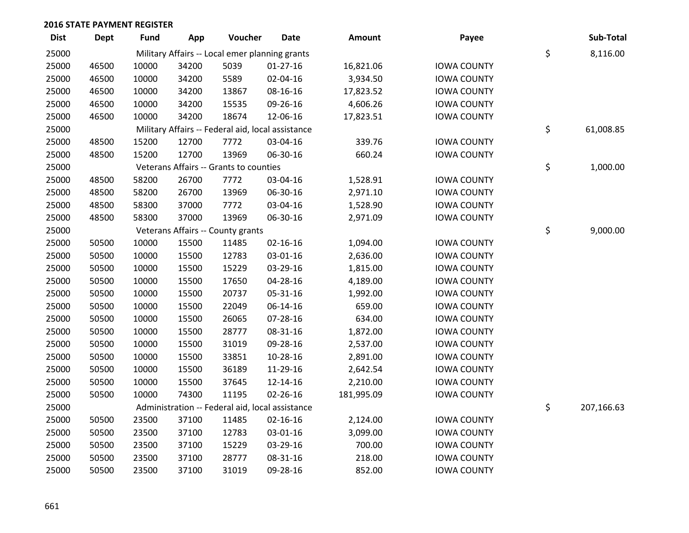| <b>Dist</b> | <b>Dept</b> | <b>Fund</b> | App   | Voucher                                           | <b>Date</b>    | Amount     | Payee              | Sub-Total        |
|-------------|-------------|-------------|-------|---------------------------------------------------|----------------|------------|--------------------|------------------|
| 25000       |             |             |       | Military Affairs -- Local emer planning grants    |                |            |                    | \$<br>8,116.00   |
| 25000       | 46500       | 10000       | 34200 | 5039                                              | $01-27-16$     | 16,821.06  | <b>IOWA COUNTY</b> |                  |
| 25000       | 46500       | 10000       | 34200 | 5589                                              | 02-04-16       | 3,934.50   | <b>IOWA COUNTY</b> |                  |
| 25000       | 46500       | 10000       | 34200 | 13867                                             | 08-16-16       | 17,823.52  | <b>IOWA COUNTY</b> |                  |
| 25000       | 46500       | 10000       | 34200 | 15535                                             | 09-26-16       | 4,606.26   | <b>IOWA COUNTY</b> |                  |
| 25000       | 46500       | 10000       | 34200 | 18674                                             | 12-06-16       | 17,823.51  | <b>IOWA COUNTY</b> |                  |
| 25000       |             |             |       | Military Affairs -- Federal aid, local assistance |                |            |                    | \$<br>61,008.85  |
| 25000       | 48500       | 15200       | 12700 | 7772                                              | 03-04-16       | 339.76     | <b>IOWA COUNTY</b> |                  |
| 25000       | 48500       | 15200       | 12700 | 13969                                             | 06-30-16       | 660.24     | <b>IOWA COUNTY</b> |                  |
| 25000       |             |             |       | Veterans Affairs -- Grants to counties            |                |            |                    | \$<br>1,000.00   |
| 25000       | 48500       | 58200       | 26700 | 7772                                              | 03-04-16       | 1,528.91   | <b>IOWA COUNTY</b> |                  |
| 25000       | 48500       | 58200       | 26700 | 13969                                             | 06-30-16       | 2,971.10   | <b>IOWA COUNTY</b> |                  |
| 25000       | 48500       | 58300       | 37000 | 7772                                              | 03-04-16       | 1,528.90   | <b>IOWA COUNTY</b> |                  |
| 25000       | 48500       | 58300       | 37000 | 13969                                             | 06-30-16       | 2,971.09   | <b>IOWA COUNTY</b> |                  |
| 25000       |             |             |       | Veterans Affairs -- County grants                 |                |            |                    | \$<br>9,000.00   |
| 25000       | 50500       | 10000       | 15500 | 11485                                             | $02 - 16 - 16$ | 1,094.00   | <b>IOWA COUNTY</b> |                  |
| 25000       | 50500       | 10000       | 15500 | 12783                                             | 03-01-16       | 2,636.00   | <b>IOWA COUNTY</b> |                  |
| 25000       | 50500       | 10000       | 15500 | 15229                                             | 03-29-16       | 1,815.00   | <b>IOWA COUNTY</b> |                  |
| 25000       | 50500       | 10000       | 15500 | 17650                                             | 04-28-16       | 4,189.00   | <b>IOWA COUNTY</b> |                  |
| 25000       | 50500       | 10000       | 15500 | 20737                                             | 05-31-16       | 1,992.00   | <b>IOWA COUNTY</b> |                  |
| 25000       | 50500       | 10000       | 15500 | 22049                                             | 06-14-16       | 659.00     | <b>IOWA COUNTY</b> |                  |
| 25000       | 50500       | 10000       | 15500 | 26065                                             | 07-28-16       | 634.00     | <b>IOWA COUNTY</b> |                  |
| 25000       | 50500       | 10000       | 15500 | 28777                                             | 08-31-16       | 1,872.00   | <b>IOWA COUNTY</b> |                  |
| 25000       | 50500       | 10000       | 15500 | 31019                                             | 09-28-16       | 2,537.00   | <b>IOWA COUNTY</b> |                  |
| 25000       | 50500       | 10000       | 15500 | 33851                                             | 10-28-16       | 2,891.00   | <b>IOWA COUNTY</b> |                  |
| 25000       | 50500       | 10000       | 15500 | 36189                                             | 11-29-16       | 2,642.54   | <b>IOWA COUNTY</b> |                  |
| 25000       | 50500       | 10000       | 15500 | 37645                                             | 12-14-16       | 2,210.00   | <b>IOWA COUNTY</b> |                  |
| 25000       | 50500       | 10000       | 74300 | 11195                                             | $02 - 26 - 16$ | 181,995.09 | <b>IOWA COUNTY</b> |                  |
| 25000       |             |             |       | Administration -- Federal aid, local assistance   |                |            |                    | \$<br>207,166.63 |
| 25000       | 50500       | 23500       | 37100 | 11485                                             | $02 - 16 - 16$ | 2,124.00   | <b>IOWA COUNTY</b> |                  |
| 25000       | 50500       | 23500       | 37100 | 12783                                             | 03-01-16       | 3,099.00   | <b>IOWA COUNTY</b> |                  |
| 25000       | 50500       | 23500       | 37100 | 15229                                             | 03-29-16       | 700.00     | <b>IOWA COUNTY</b> |                  |
| 25000       | 50500       | 23500       | 37100 | 28777                                             | 08-31-16       | 218.00     | <b>IOWA COUNTY</b> |                  |
| 25000       | 50500       | 23500       | 37100 | 31019                                             | 09-28-16       | 852.00     | <b>IOWA COUNTY</b> |                  |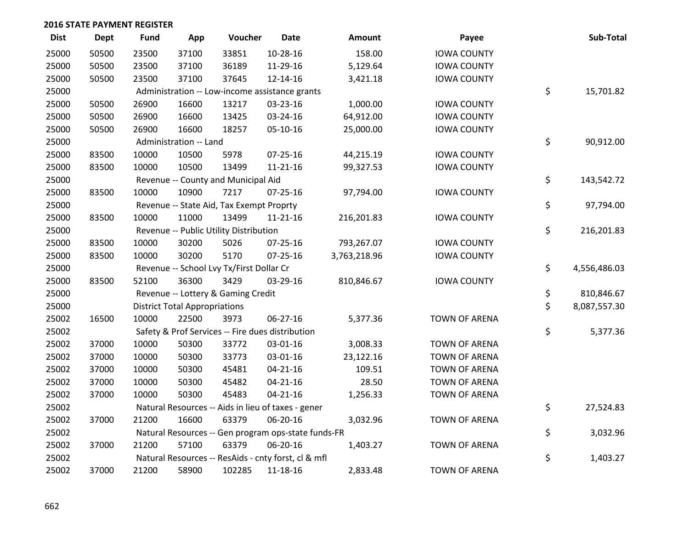| <b>Dist</b> | <b>Dept</b> | <b>Fund</b> | App                                  | Voucher                                  | <b>Date</b>                                         | <b>Amount</b> | Payee                | Sub-Total          |
|-------------|-------------|-------------|--------------------------------------|------------------------------------------|-----------------------------------------------------|---------------|----------------------|--------------------|
| 25000       | 50500       | 23500       | 37100                                | 33851                                    | 10-28-16                                            | 158.00        | <b>IOWA COUNTY</b>   |                    |
| 25000       | 50500       | 23500       | 37100                                | 36189                                    | 11-29-16                                            | 5,129.64      | <b>IOWA COUNTY</b>   |                    |
| 25000       | 50500       | 23500       | 37100                                | 37645                                    | 12-14-16                                            | 3,421.18      | <b>IOWA COUNTY</b>   |                    |
| 25000       |             |             |                                      |                                          | Administration -- Low-income assistance grants      |               |                      | \$<br>15,701.82    |
| 25000       | 50500       | 26900       | 16600                                | 13217                                    | 03-23-16                                            | 1,000.00      | <b>IOWA COUNTY</b>   |                    |
| 25000       | 50500       | 26900       | 16600                                | 13425                                    | 03-24-16                                            | 64,912.00     | <b>IOWA COUNTY</b>   |                    |
| 25000       | 50500       | 26900       | 16600                                | 18257                                    | 05-10-16                                            | 25,000.00     | <b>IOWA COUNTY</b>   |                    |
| 25000       |             |             | Administration -- Land               |                                          |                                                     |               |                      | \$<br>90,912.00    |
| 25000       | 83500       | 10000       | 10500                                | 5978                                     | 07-25-16                                            | 44,215.19     | <b>IOWA COUNTY</b>   |                    |
| 25000       | 83500       | 10000       | 10500                                | 13499                                    | 11-21-16                                            | 99,327.53     | <b>IOWA COUNTY</b>   |                    |
| 25000       |             |             |                                      | Revenue -- County and Municipal Aid      |                                                     |               |                      | \$<br>143,542.72   |
| 25000       | 83500       | 10000       | 10900                                | 7217                                     | $07 - 25 - 16$                                      | 97,794.00     | <b>IOWA COUNTY</b>   |                    |
| 25000       |             |             |                                      | Revenue -- State Aid, Tax Exempt Proprty |                                                     |               |                      | \$<br>97,794.00    |
| 25000       | 83500       | 10000       | 11000                                | 13499                                    | $11 - 21 - 16$                                      | 216,201.83    | <b>IOWA COUNTY</b>   |                    |
| 25000       |             |             |                                      | Revenue -- Public Utility Distribution   |                                                     |               |                      | \$<br>216,201.83   |
| 25000       | 83500       | 10000       | 30200                                | 5026                                     | 07-25-16                                            | 793,267.07    | <b>IOWA COUNTY</b>   |                    |
| 25000       | 83500       | 10000       | 30200                                | 5170                                     | $07 - 25 - 16$                                      | 3,763,218.96  | <b>IOWA COUNTY</b>   |                    |
| 25000       |             |             |                                      | Revenue -- School Lvy Tx/First Dollar Cr |                                                     |               |                      | \$<br>4,556,486.03 |
| 25000       | 83500       | 52100       | 36300                                | 3429                                     | 03-29-16                                            | 810,846.67    | <b>IOWA COUNTY</b>   |                    |
| 25000       |             |             |                                      | Revenue -- Lottery & Gaming Credit       |                                                     |               |                      | \$<br>810,846.67   |
| 25000       |             |             | <b>District Total Appropriations</b> |                                          |                                                     |               |                      | \$<br>8,087,557.30 |
| 25002       | 16500       | 10000       | 22500                                | 3973                                     | 06-27-16                                            | 5,377.36      | TOWN OF ARENA        |                    |
| 25002       |             |             |                                      |                                          | Safety & Prof Services -- Fire dues distribution    |               |                      | \$<br>5,377.36     |
| 25002       | 37000       | 10000       | 50300                                | 33772                                    | 03-01-16                                            | 3,008.33      | <b>TOWN OF ARENA</b> |                    |
| 25002       | 37000       | 10000       | 50300                                | 33773                                    | 03-01-16                                            | 23,122.16     | <b>TOWN OF ARENA</b> |                    |
| 25002       | 37000       | 10000       | 50300                                | 45481                                    | $04 - 21 - 16$                                      | 109.51        | <b>TOWN OF ARENA</b> |                    |
| 25002       | 37000       | 10000       | 50300                                | 45482                                    | $04 - 21 - 16$                                      | 28.50         | TOWN OF ARENA        |                    |
| 25002       | 37000       | 10000       | 50300                                | 45483                                    | $04 - 21 - 16$                                      | 1,256.33      | <b>TOWN OF ARENA</b> |                    |
| 25002       |             |             |                                      |                                          | Natural Resources -- Aids in lieu of taxes - gener  |               |                      | \$<br>27,524.83    |
| 25002       | 37000       | 21200       | 16600                                | 63379                                    | 06-20-16                                            | 3,032.96      | <b>TOWN OF ARENA</b> |                    |
| 25002       |             |             |                                      |                                          | Natural Resources -- Gen program ops-state funds-FR |               |                      | \$<br>3,032.96     |
| 25002       | 37000       | 21200       | 57100                                | 63379                                    | 06-20-16                                            | 1,403.27      | <b>TOWN OF ARENA</b> |                    |
| 25002       |             |             |                                      |                                          | Natural Resources -- ResAids - cnty forst, cl & mfl |               |                      | \$<br>1,403.27     |
| 25002       | 37000       | 21200       | 58900                                | 102285                                   | 11-18-16                                            | 2,833.48      | TOWN OF ARENA        |                    |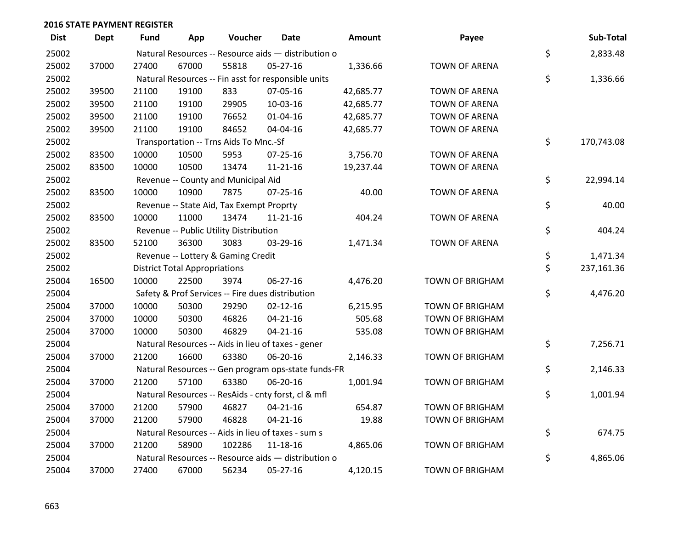| <b>Dist</b> | <b>Dept</b> | <b>Fund</b> | App                                  | Voucher                                  | Date                                                | Amount    | Payee                  | Sub-Total        |
|-------------|-------------|-------------|--------------------------------------|------------------------------------------|-----------------------------------------------------|-----------|------------------------|------------------|
| 25002       |             |             |                                      |                                          | Natural Resources -- Resource aids - distribution o |           |                        | \$<br>2,833.48   |
| 25002       | 37000       | 27400       | 67000                                | 55818                                    | 05-27-16                                            | 1,336.66  | <b>TOWN OF ARENA</b>   |                  |
| 25002       |             |             |                                      |                                          | Natural Resources -- Fin asst for responsible units |           |                        | \$<br>1,336.66   |
| 25002       | 39500       | 21100       | 19100                                | 833                                      | 07-05-16                                            | 42,685.77 | TOWN OF ARENA          |                  |
| 25002       | 39500       | 21100       | 19100                                | 29905                                    | 10-03-16                                            | 42,685.77 | <b>TOWN OF ARENA</b>   |                  |
| 25002       | 39500       | 21100       | 19100                                | 76652                                    | $01 - 04 - 16$                                      | 42,685.77 | <b>TOWN OF ARENA</b>   |                  |
| 25002       | 39500       | 21100       | 19100                                | 84652                                    | 04-04-16                                            | 42,685.77 | <b>TOWN OF ARENA</b>   |                  |
| 25002       |             |             |                                      | Transportation -- Trns Aids To Mnc.-Sf   |                                                     |           |                        | \$<br>170,743.08 |
| 25002       | 83500       | 10000       | 10500                                | 5953                                     | $07 - 25 - 16$                                      | 3,756.70  | <b>TOWN OF ARENA</b>   |                  |
| 25002       | 83500       | 10000       | 10500                                | 13474                                    | $11 - 21 - 16$                                      | 19,237.44 | <b>TOWN OF ARENA</b>   |                  |
| 25002       |             |             |                                      | Revenue -- County and Municipal Aid      |                                                     |           |                        | \$<br>22,994.14  |
| 25002       | 83500       | 10000       | 10900                                | 7875                                     | $07 - 25 - 16$                                      | 40.00     | <b>TOWN OF ARENA</b>   |                  |
| 25002       |             |             |                                      | Revenue -- State Aid, Tax Exempt Proprty |                                                     |           |                        | \$<br>40.00      |
| 25002       | 83500       | 10000       | 11000                                | 13474                                    | $11 - 21 - 16$                                      | 404.24    | <b>TOWN OF ARENA</b>   |                  |
| 25002       |             |             |                                      | Revenue -- Public Utility Distribution   |                                                     |           |                        | \$<br>404.24     |
| 25002       | 83500       | 52100       | 36300                                | 3083                                     | 03-29-16                                            | 1,471.34  | <b>TOWN OF ARENA</b>   |                  |
| 25002       |             |             |                                      | Revenue -- Lottery & Gaming Credit       |                                                     |           |                        | \$<br>1,471.34   |
| 25002       |             |             | <b>District Total Appropriations</b> |                                          |                                                     |           |                        | \$<br>237,161.36 |
| 25004       | 16500       | 10000       | 22500                                | 3974                                     | 06-27-16                                            | 4,476.20  | <b>TOWN OF BRIGHAM</b> |                  |
| 25004       |             |             |                                      |                                          | Safety & Prof Services -- Fire dues distribution    |           |                        | \$<br>4,476.20   |
| 25004       | 37000       | 10000       | 50300                                | 29290                                    | $02 - 12 - 16$                                      | 6,215.95  | <b>TOWN OF BRIGHAM</b> |                  |
| 25004       | 37000       | 10000       | 50300                                | 46826                                    | $04 - 21 - 16$                                      | 505.68    | <b>TOWN OF BRIGHAM</b> |                  |
| 25004       | 37000       | 10000       | 50300                                | 46829                                    | $04 - 21 - 16$                                      | 535.08    | TOWN OF BRIGHAM        |                  |
| 25004       |             |             |                                      |                                          | Natural Resources -- Aids in lieu of taxes - gener  |           |                        | \$<br>7,256.71   |
| 25004       | 37000       | 21200       | 16600                                | 63380                                    | 06-20-16                                            | 2,146.33  | <b>TOWN OF BRIGHAM</b> |                  |
| 25004       |             |             |                                      |                                          | Natural Resources -- Gen program ops-state funds-FR |           |                        | \$<br>2,146.33   |
| 25004       | 37000       | 21200       | 57100                                | 63380                                    | 06-20-16                                            | 1,001.94  | <b>TOWN OF BRIGHAM</b> |                  |
| 25004       |             |             |                                      |                                          | Natural Resources -- ResAids - cnty forst, cl & mfl |           |                        | \$<br>1,001.94   |
| 25004       | 37000       | 21200       | 57900                                | 46827                                    | $04 - 21 - 16$                                      | 654.87    | <b>TOWN OF BRIGHAM</b> |                  |
| 25004       | 37000       | 21200       | 57900                                | 46828                                    | $04 - 21 - 16$                                      | 19.88     | <b>TOWN OF BRIGHAM</b> |                  |
| 25004       |             |             |                                      |                                          | Natural Resources -- Aids in lieu of taxes - sum s  |           |                        | \$<br>674.75     |
| 25004       | 37000       | 21200       | 58900                                | 102286                                   | 11-18-16                                            | 4,865.06  | <b>TOWN OF BRIGHAM</b> |                  |
| 25004       |             |             |                                      |                                          | Natural Resources -- Resource aids - distribution o |           |                        | \$<br>4,865.06   |
| 25004       | 37000       | 27400       | 67000                                | 56234                                    | 05-27-16                                            | 4,120.15  | <b>TOWN OF BRIGHAM</b> |                  |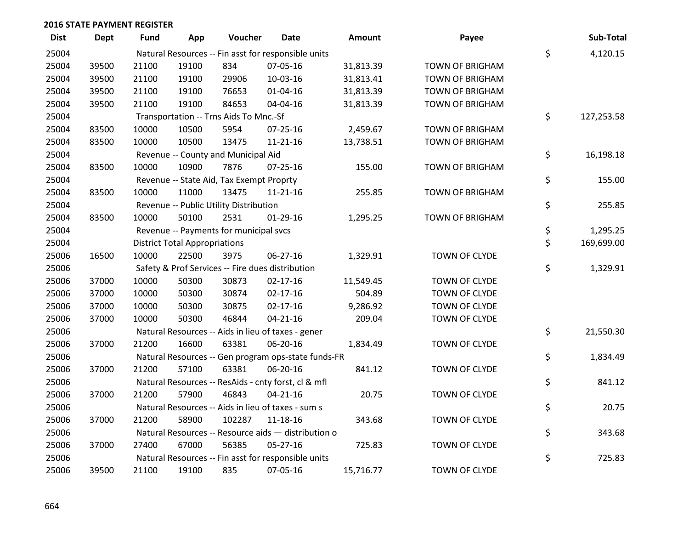| <b>Dist</b> | Dept  | <b>Fund</b> | App                                  | Voucher                                  | <b>Date</b>                                         | <b>Amount</b> | Payee                  | Sub-Total        |
|-------------|-------|-------------|--------------------------------------|------------------------------------------|-----------------------------------------------------|---------------|------------------------|------------------|
| 25004       |       |             |                                      |                                          | Natural Resources -- Fin asst for responsible units |               |                        | \$<br>4,120.15   |
| 25004       | 39500 | 21100       | 19100                                | 834                                      | 07-05-16                                            | 31,813.39     | <b>TOWN OF BRIGHAM</b> |                  |
| 25004       | 39500 | 21100       | 19100                                | 29906                                    | 10-03-16                                            | 31,813.41     | <b>TOWN OF BRIGHAM</b> |                  |
| 25004       | 39500 | 21100       | 19100                                | 76653                                    | $01 - 04 - 16$                                      | 31,813.39     | <b>TOWN OF BRIGHAM</b> |                  |
| 25004       | 39500 | 21100       | 19100                                | 84653                                    | 04-04-16                                            | 31,813.39     | <b>TOWN OF BRIGHAM</b> |                  |
| 25004       |       |             |                                      | Transportation -- Trns Aids To Mnc.-Sf   |                                                     |               |                        | \$<br>127,253.58 |
| 25004       | 83500 | 10000       | 10500                                | 5954                                     | $07 - 25 - 16$                                      | 2,459.67      | <b>TOWN OF BRIGHAM</b> |                  |
| 25004       | 83500 | 10000       | 10500                                | 13475                                    | $11 - 21 - 16$                                      | 13,738.51     | <b>TOWN OF BRIGHAM</b> |                  |
| 25004       |       |             |                                      | Revenue -- County and Municipal Aid      |                                                     |               |                        | \$<br>16,198.18  |
| 25004       | 83500 | 10000       | 10900                                | 7876                                     | $07 - 25 - 16$                                      | 155.00        | <b>TOWN OF BRIGHAM</b> |                  |
| 25004       |       |             |                                      | Revenue -- State Aid, Tax Exempt Proprty |                                                     |               |                        | \$<br>155.00     |
| 25004       | 83500 | 10000       | 11000                                | 13475                                    | $11 - 21 - 16$                                      | 255.85        | <b>TOWN OF BRIGHAM</b> |                  |
| 25004       |       |             |                                      | Revenue -- Public Utility Distribution   |                                                     |               |                        | \$<br>255.85     |
| 25004       | 83500 | 10000       | 50100                                | 2531                                     | $01-29-16$                                          | 1,295.25      | <b>TOWN OF BRIGHAM</b> |                  |
| 25004       |       |             |                                      | Revenue -- Payments for municipal svcs   |                                                     |               |                        | \$<br>1,295.25   |
| 25004       |       |             | <b>District Total Appropriations</b> |                                          |                                                     |               |                        | \$<br>169,699.00 |
| 25006       | 16500 | 10000       | 22500                                | 3975                                     | 06-27-16                                            | 1,329.91      | TOWN OF CLYDE          |                  |
| 25006       |       |             |                                      |                                          | Safety & Prof Services -- Fire dues distribution    |               |                        | \$<br>1,329.91   |
| 25006       | 37000 | 10000       | 50300                                | 30873                                    | $02 - 17 - 16$                                      | 11,549.45     | TOWN OF CLYDE          |                  |
| 25006       | 37000 | 10000       | 50300                                | 30874                                    | $02 - 17 - 16$                                      | 504.89        | TOWN OF CLYDE          |                  |
| 25006       | 37000 | 10000       | 50300                                | 30875                                    | $02 - 17 - 16$                                      | 9,286.92      | TOWN OF CLYDE          |                  |
| 25006       | 37000 | 10000       | 50300                                | 46844                                    | $04 - 21 - 16$                                      | 209.04        | TOWN OF CLYDE          |                  |
| 25006       |       |             |                                      |                                          | Natural Resources -- Aids in lieu of taxes - gener  |               |                        | \$<br>21,550.30  |
| 25006       | 37000 | 21200       | 16600                                | 63381                                    | 06-20-16                                            | 1,834.49      | TOWN OF CLYDE          |                  |
| 25006       |       |             |                                      |                                          | Natural Resources -- Gen program ops-state funds-FR |               |                        | \$<br>1,834.49   |
| 25006       | 37000 | 21200       | 57100                                | 63381                                    | 06-20-16                                            | 841.12        | TOWN OF CLYDE          |                  |
| 25006       |       |             |                                      |                                          | Natural Resources -- ResAids - cnty forst, cl & mfl |               |                        | \$<br>841.12     |
| 25006       | 37000 | 21200       | 57900                                | 46843                                    | $04 - 21 - 16$                                      | 20.75         | TOWN OF CLYDE          |                  |
| 25006       |       |             |                                      |                                          | Natural Resources -- Aids in lieu of taxes - sum s  |               |                        | \$<br>20.75      |
| 25006       | 37000 | 21200       | 58900                                | 102287                                   | 11-18-16                                            | 343.68        | TOWN OF CLYDE          |                  |
| 25006       |       |             |                                      |                                          | Natural Resources -- Resource aids - distribution o |               |                        | \$<br>343.68     |
| 25006       | 37000 | 27400       | 67000                                | 56385                                    | 05-27-16                                            | 725.83        | TOWN OF CLYDE          |                  |
| 25006       |       |             |                                      |                                          | Natural Resources -- Fin asst for responsible units |               |                        | \$<br>725.83     |
| 25006       | 39500 | 21100       | 19100                                | 835                                      | 07-05-16                                            | 15,716.77     | TOWN OF CLYDE          |                  |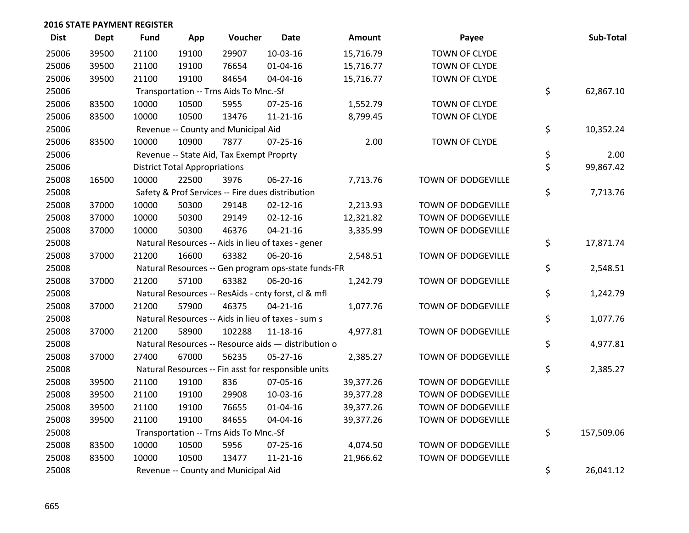| <b>Dist</b> | Dept  | <b>Fund</b> | App                                  | Voucher                                  | <b>Date</b>                                         | Amount    | Payee              | Sub-Total        |
|-------------|-------|-------------|--------------------------------------|------------------------------------------|-----------------------------------------------------|-----------|--------------------|------------------|
| 25006       | 39500 | 21100       | 19100                                | 29907                                    | 10-03-16                                            | 15,716.79 | TOWN OF CLYDE      |                  |
| 25006       | 39500 | 21100       | 19100                                | 76654                                    | 01-04-16                                            | 15,716.77 | TOWN OF CLYDE      |                  |
| 25006       | 39500 | 21100       | 19100                                | 84654                                    | 04-04-16                                            | 15,716.77 | TOWN OF CLYDE      |                  |
| 25006       |       |             |                                      | Transportation -- Trns Aids To Mnc.-Sf   |                                                     |           |                    | \$<br>62,867.10  |
| 25006       | 83500 | 10000       | 10500                                | 5955                                     | $07 - 25 - 16$                                      | 1,552.79  | TOWN OF CLYDE      |                  |
| 25006       | 83500 | 10000       | 10500                                | 13476                                    | $11 - 21 - 16$                                      | 8,799.45  | TOWN OF CLYDE      |                  |
| 25006       |       |             |                                      | Revenue -- County and Municipal Aid      |                                                     |           |                    | \$<br>10,352.24  |
| 25006       | 83500 | 10000       | 10900                                | 7877                                     | $07 - 25 - 16$                                      | 2.00      | TOWN OF CLYDE      |                  |
| 25006       |       |             |                                      | Revenue -- State Aid, Tax Exempt Proprty |                                                     |           |                    | \$<br>2.00       |
| 25006       |       |             | <b>District Total Appropriations</b> |                                          |                                                     |           |                    | \$<br>99,867.42  |
| 25008       | 16500 | 10000       | 22500                                | 3976                                     | 06-27-16                                            | 7,713.76  | TOWN OF DODGEVILLE |                  |
| 25008       |       |             |                                      |                                          | Safety & Prof Services -- Fire dues distribution    |           |                    | \$<br>7,713.76   |
| 25008       | 37000 | 10000       | 50300                                | 29148                                    | $02 - 12 - 16$                                      | 2,213.93  | TOWN OF DODGEVILLE |                  |
| 25008       | 37000 | 10000       | 50300                                | 29149                                    | $02 - 12 - 16$                                      | 12,321.82 | TOWN OF DODGEVILLE |                  |
| 25008       | 37000 | 10000       | 50300                                | 46376                                    | $04 - 21 - 16$                                      | 3,335.99  | TOWN OF DODGEVILLE |                  |
| 25008       |       |             |                                      |                                          | Natural Resources -- Aids in lieu of taxes - gener  |           |                    | \$<br>17,871.74  |
| 25008       | 37000 | 21200       | 16600                                | 63382                                    | 06-20-16                                            | 2,548.51  | TOWN OF DODGEVILLE |                  |
| 25008       |       |             |                                      |                                          | Natural Resources -- Gen program ops-state funds-FR |           |                    | \$<br>2,548.51   |
| 25008       | 37000 | 21200       | 57100                                | 63382                                    | 06-20-16                                            | 1,242.79  | TOWN OF DODGEVILLE |                  |
| 25008       |       |             |                                      |                                          | Natural Resources -- ResAids - cnty forst, cl & mfl |           |                    | \$<br>1,242.79   |
| 25008       | 37000 | 21200       | 57900                                | 46375                                    | $04 - 21 - 16$                                      | 1,077.76  | TOWN OF DODGEVILLE |                  |
| 25008       |       |             |                                      |                                          | Natural Resources -- Aids in lieu of taxes - sum s  |           |                    | \$<br>1,077.76   |
| 25008       | 37000 | 21200       | 58900                                | 102288                                   | 11-18-16                                            | 4,977.81  | TOWN OF DODGEVILLE |                  |
| 25008       |       |             |                                      |                                          | Natural Resources -- Resource aids - distribution o |           |                    | \$<br>4,977.81   |
| 25008       | 37000 | 27400       | 67000                                | 56235                                    | 05-27-16                                            | 2,385.27  | TOWN OF DODGEVILLE |                  |
| 25008       |       |             |                                      |                                          | Natural Resources -- Fin asst for responsible units |           |                    | \$<br>2,385.27   |
| 25008       | 39500 | 21100       | 19100                                | 836                                      | 07-05-16                                            | 39,377.26 | TOWN OF DODGEVILLE |                  |
| 25008       | 39500 | 21100       | 19100                                | 29908                                    | 10-03-16                                            | 39,377.28 | TOWN OF DODGEVILLE |                  |
| 25008       | 39500 | 21100       | 19100                                | 76655                                    | $01 - 04 - 16$                                      | 39,377.26 | TOWN OF DODGEVILLE |                  |
| 25008       | 39500 | 21100       | 19100                                | 84655                                    | 04-04-16                                            | 39,377.26 | TOWN OF DODGEVILLE |                  |
| 25008       |       |             |                                      | Transportation -- Trns Aids To Mnc.-Sf   |                                                     |           |                    | \$<br>157,509.06 |
| 25008       | 83500 | 10000       | 10500                                | 5956                                     | $07 - 25 - 16$                                      | 4,074.50  | TOWN OF DODGEVILLE |                  |
| 25008       | 83500 | 10000       | 10500                                | 13477                                    | $11 - 21 - 16$                                      | 21,966.62 | TOWN OF DODGEVILLE |                  |
| 25008       |       |             |                                      | Revenue -- County and Municipal Aid      |                                                     |           |                    | \$<br>26,041.12  |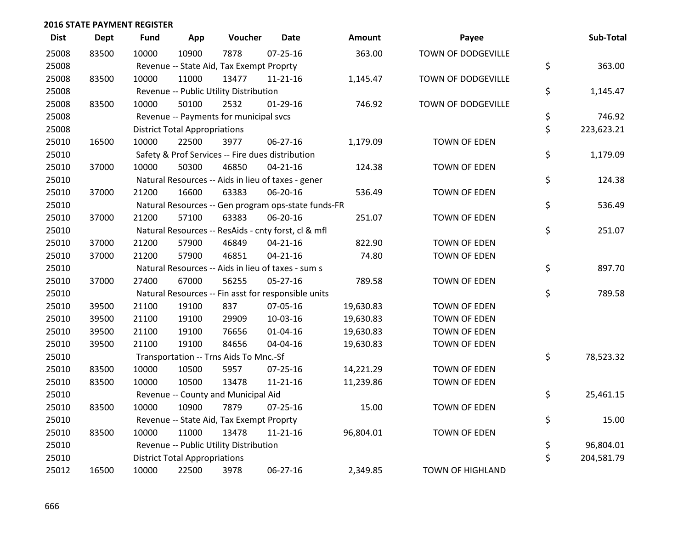| <b>Dist</b> | <b>Dept</b> | <b>Fund</b> | App                                  | Voucher                                             | <b>Date</b>    | Amount    | Payee                   | Sub-Total        |
|-------------|-------------|-------------|--------------------------------------|-----------------------------------------------------|----------------|-----------|-------------------------|------------------|
| 25008       | 83500       | 10000       | 10900                                | 7878                                                | $07 - 25 - 16$ | 363.00    | TOWN OF DODGEVILLE      |                  |
| 25008       |             |             |                                      | Revenue -- State Aid, Tax Exempt Proprty            |                |           |                         | \$<br>363.00     |
| 25008       | 83500       | 10000       | 11000                                | 13477                                               | $11 - 21 - 16$ | 1,145.47  | TOWN OF DODGEVILLE      |                  |
| 25008       |             |             |                                      | Revenue -- Public Utility Distribution              |                |           |                         | \$<br>1,145.47   |
| 25008       | 83500       | 10000       | 50100                                | 2532                                                | $01-29-16$     | 746.92    | TOWN OF DODGEVILLE      |                  |
| 25008       |             |             |                                      | Revenue -- Payments for municipal svcs              |                |           |                         | \$<br>746.92     |
| 25008       |             |             | <b>District Total Appropriations</b> |                                                     |                |           |                         | \$<br>223,623.21 |
| 25010       | 16500       | 10000       | 22500                                | 3977                                                | 06-27-16       | 1,179.09  | <b>TOWN OF EDEN</b>     |                  |
| 25010       |             |             |                                      | Safety & Prof Services -- Fire dues distribution    |                |           |                         | \$<br>1,179.09   |
| 25010       | 37000       | 10000       | 50300                                | 46850                                               | $04 - 21 - 16$ | 124.38    | <b>TOWN OF EDEN</b>     |                  |
| 25010       |             |             |                                      | Natural Resources -- Aids in lieu of taxes - gener  |                |           |                         | \$<br>124.38     |
| 25010       | 37000       | 21200       | 16600                                | 63383                                               | 06-20-16       | 536.49    | <b>TOWN OF EDEN</b>     |                  |
| 25010       |             |             |                                      | Natural Resources -- Gen program ops-state funds-FR |                |           |                         | \$<br>536.49     |
| 25010       | 37000       | 21200       | 57100                                | 63383                                               | 06-20-16       | 251.07    | <b>TOWN OF EDEN</b>     |                  |
| 25010       |             |             |                                      | Natural Resources -- ResAids - cnty forst, cl & mfl |                |           |                         | \$<br>251.07     |
| 25010       | 37000       | 21200       | 57900                                | 46849                                               | $04 - 21 - 16$ | 822.90    | <b>TOWN OF EDEN</b>     |                  |
| 25010       | 37000       | 21200       | 57900                                | 46851                                               | $04 - 21 - 16$ | 74.80     | <b>TOWN OF EDEN</b>     |                  |
| 25010       |             |             |                                      | Natural Resources -- Aids in lieu of taxes - sum s  |                |           |                         | \$<br>897.70     |
| 25010       | 37000       | 27400       | 67000                                | 56255                                               | 05-27-16       | 789.58    | <b>TOWN OF EDEN</b>     |                  |
| 25010       |             |             |                                      | Natural Resources -- Fin asst for responsible units |                |           |                         | \$<br>789.58     |
| 25010       | 39500       | 21100       | 19100                                | 837                                                 | 07-05-16       | 19,630.83 | <b>TOWN OF EDEN</b>     |                  |
| 25010       | 39500       | 21100       | 19100                                | 29909                                               | 10-03-16       | 19,630.83 | <b>TOWN OF EDEN</b>     |                  |
| 25010       | 39500       | 21100       | 19100                                | 76656                                               | $01 - 04 - 16$ | 19,630.83 | <b>TOWN OF EDEN</b>     |                  |
| 25010       | 39500       | 21100       | 19100                                | 84656                                               | 04-04-16       | 19,630.83 | <b>TOWN OF EDEN</b>     |                  |
| 25010       |             |             |                                      | Transportation -- Trns Aids To Mnc.-Sf              |                |           |                         | \$<br>78,523.32  |
| 25010       | 83500       | 10000       | 10500                                | 5957                                                | $07 - 25 - 16$ | 14,221.29 | <b>TOWN OF EDEN</b>     |                  |
| 25010       | 83500       | 10000       | 10500                                | 13478                                               | $11 - 21 - 16$ | 11,239.86 | <b>TOWN OF EDEN</b>     |                  |
| 25010       |             |             |                                      | Revenue -- County and Municipal Aid                 |                |           |                         | \$<br>25,461.15  |
| 25010       | 83500       | 10000       | 10900                                | 7879                                                | $07 - 25 - 16$ | 15.00     | <b>TOWN OF EDEN</b>     |                  |
| 25010       |             |             |                                      | Revenue -- State Aid, Tax Exempt Proprty            |                |           |                         | \$<br>15.00      |
| 25010       | 83500       | 10000       | 11000                                | 13478                                               | $11 - 21 - 16$ | 96,804.01 | <b>TOWN OF EDEN</b>     |                  |
| 25010       |             |             |                                      | Revenue -- Public Utility Distribution              |                |           |                         | \$<br>96,804.01  |
| 25010       |             |             | <b>District Total Appropriations</b> |                                                     |                |           |                         | \$<br>204,581.79 |
| 25012       | 16500       | 10000       | 22500                                | 3978                                                | 06-27-16       | 2,349.85  | <b>TOWN OF HIGHLAND</b> |                  |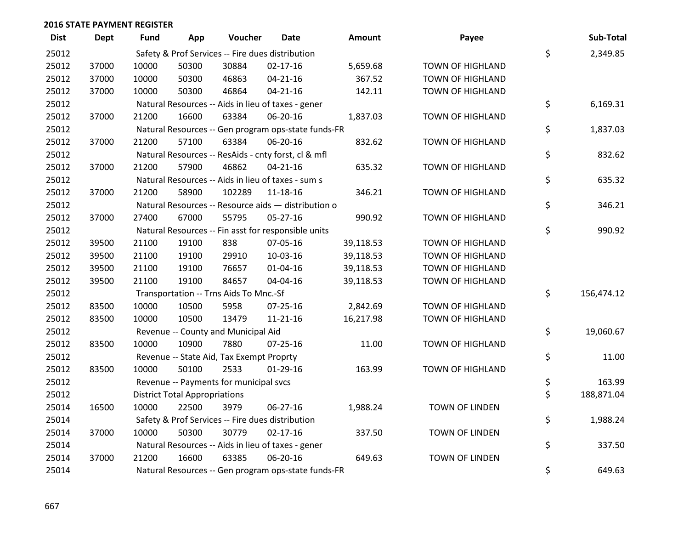| <b>Dist</b> | <b>Dept</b> | <b>Fund</b> | App                                  | Voucher                                  | <b>Date</b>                                         | <b>Amount</b> | Payee                   | Sub-Total        |
|-------------|-------------|-------------|--------------------------------------|------------------------------------------|-----------------------------------------------------|---------------|-------------------------|------------------|
| 25012       |             |             |                                      |                                          | Safety & Prof Services -- Fire dues distribution    |               |                         | \$<br>2,349.85   |
| 25012       | 37000       | 10000       | 50300                                | 30884                                    | $02 - 17 - 16$                                      | 5,659.68      | TOWN OF HIGHLAND        |                  |
| 25012       | 37000       | 10000       | 50300                                | 46863                                    | $04 - 21 - 16$                                      | 367.52        | <b>TOWN OF HIGHLAND</b> |                  |
| 25012       | 37000       | 10000       | 50300                                | 46864                                    | $04 - 21 - 16$                                      | 142.11        | <b>TOWN OF HIGHLAND</b> |                  |
| 25012       |             |             |                                      |                                          | Natural Resources -- Aids in lieu of taxes - gener  |               |                         | \$<br>6,169.31   |
| 25012       | 37000       | 21200       | 16600                                | 63384                                    | 06-20-16                                            | 1,837.03      | TOWN OF HIGHLAND        |                  |
| 25012       |             |             |                                      |                                          | Natural Resources -- Gen program ops-state funds-FR |               |                         | \$<br>1,837.03   |
| 25012       | 37000       | 21200       | 57100                                | 63384                                    | 06-20-16                                            | 832.62        | TOWN OF HIGHLAND        |                  |
| 25012       |             |             |                                      |                                          | Natural Resources -- ResAids - cnty forst, cl & mfl |               |                         | \$<br>832.62     |
| 25012       | 37000       | 21200       | 57900                                | 46862                                    | $04 - 21 - 16$                                      | 635.32        | TOWN OF HIGHLAND        |                  |
| 25012       |             |             |                                      |                                          | Natural Resources -- Aids in lieu of taxes - sum s  |               |                         | \$<br>635.32     |
| 25012       | 37000       | 21200       | 58900                                | 102289                                   | $11 - 18 - 16$                                      | 346.21        | <b>TOWN OF HIGHLAND</b> |                  |
| 25012       |             |             |                                      |                                          | Natural Resources -- Resource aids - distribution o |               |                         | \$<br>346.21     |
| 25012       | 37000       | 27400       | 67000                                | 55795                                    | $05 - 27 - 16$                                      | 990.92        | <b>TOWN OF HIGHLAND</b> |                  |
| 25012       |             |             |                                      |                                          | Natural Resources -- Fin asst for responsible units |               |                         | \$<br>990.92     |
| 25012       | 39500       | 21100       | 19100                                | 838                                      | 07-05-16                                            | 39,118.53     | TOWN OF HIGHLAND        |                  |
| 25012       | 39500       | 21100       | 19100                                | 29910                                    | 10-03-16                                            | 39,118.53     | TOWN OF HIGHLAND        |                  |
| 25012       | 39500       | 21100       | 19100                                | 76657                                    | $01 - 04 - 16$                                      | 39,118.53     | <b>TOWN OF HIGHLAND</b> |                  |
| 25012       | 39500       | 21100       | 19100                                | 84657                                    | 04-04-16                                            | 39,118.53     | <b>TOWN OF HIGHLAND</b> |                  |
| 25012       |             |             |                                      | Transportation -- Trns Aids To Mnc.-Sf   |                                                     |               |                         | \$<br>156,474.12 |
| 25012       | 83500       | 10000       | 10500                                | 5958                                     | $07 - 25 - 16$                                      | 2,842.69      | TOWN OF HIGHLAND        |                  |
| 25012       | 83500       | 10000       | 10500                                | 13479                                    | $11 - 21 - 16$                                      | 16,217.98     | TOWN OF HIGHLAND        |                  |
| 25012       |             |             |                                      | Revenue -- County and Municipal Aid      |                                                     |               |                         | \$<br>19,060.67  |
| 25012       | 83500       | 10000       | 10900                                | 7880                                     | $07 - 25 - 16$                                      | 11.00         | <b>TOWN OF HIGHLAND</b> |                  |
| 25012       |             |             |                                      | Revenue -- State Aid, Tax Exempt Proprty |                                                     |               |                         | \$<br>11.00      |
| 25012       | 83500       | 10000       | 50100                                | 2533                                     | $01-29-16$                                          | 163.99        | <b>TOWN OF HIGHLAND</b> |                  |
| 25012       |             |             |                                      | Revenue -- Payments for municipal svcs   |                                                     |               |                         | \$<br>163.99     |
| 25012       |             |             | <b>District Total Appropriations</b> |                                          |                                                     |               |                         | \$<br>188,871.04 |
| 25014       | 16500       | 10000       | 22500                                | 3979                                     | 06-27-16                                            | 1,988.24      | TOWN OF LINDEN          |                  |
| 25014       |             |             |                                      |                                          | Safety & Prof Services -- Fire dues distribution    |               |                         | \$<br>1,988.24   |
| 25014       | 37000       | 10000       | 50300                                | 30779                                    | $02 - 17 - 16$                                      | 337.50        | TOWN OF LINDEN          |                  |
| 25014       |             |             |                                      |                                          | Natural Resources -- Aids in lieu of taxes - gener  |               |                         | \$<br>337.50     |
| 25014       | 37000       | 21200       | 16600                                | 63385                                    | 06-20-16                                            | 649.63        | <b>TOWN OF LINDEN</b>   |                  |
| 25014       |             |             |                                      |                                          | Natural Resources -- Gen program ops-state funds-FR |               |                         | \$<br>649.63     |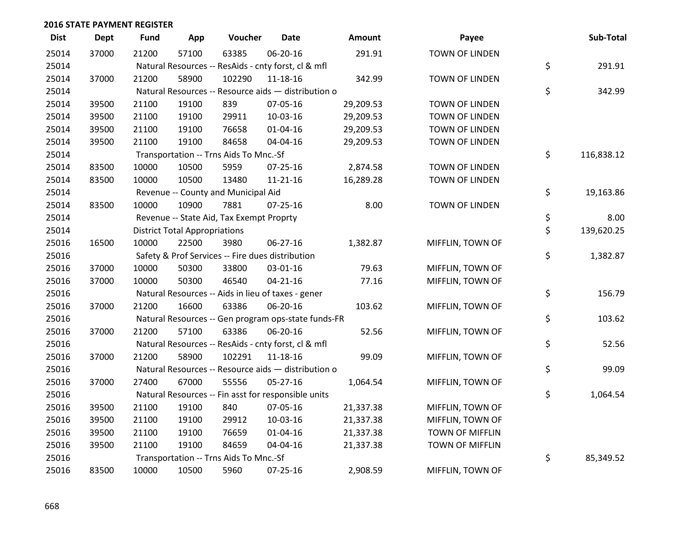| <b>Dist</b> | <b>Dept</b> | <b>Fund</b> | App                                  | Voucher                                             | <b>Date</b>    | Amount    | Payee                 | Sub-Total        |
|-------------|-------------|-------------|--------------------------------------|-----------------------------------------------------|----------------|-----------|-----------------------|------------------|
| 25014       | 37000       | 21200       | 57100                                | 63385                                               | 06-20-16       | 291.91    | <b>TOWN OF LINDEN</b> |                  |
| 25014       |             |             |                                      | Natural Resources -- ResAids - cnty forst, cl & mfl |                |           |                       | \$<br>291.91     |
| 25014       | 37000       | 21200       | 58900                                | 102290                                              | 11-18-16       | 342.99    | <b>TOWN OF LINDEN</b> |                  |
| 25014       |             |             |                                      | Natural Resources -- Resource aids - distribution o |                |           |                       | \$<br>342.99     |
| 25014       | 39500       | 21100       | 19100                                | 839                                                 | 07-05-16       | 29,209.53 | TOWN OF LINDEN        |                  |
| 25014       | 39500       | 21100       | 19100                                | 29911                                               | 10-03-16       | 29,209.53 | <b>TOWN OF LINDEN</b> |                  |
| 25014       | 39500       | 21100       | 19100                                | 76658                                               | $01 - 04 - 16$ | 29,209.53 | <b>TOWN OF LINDEN</b> |                  |
| 25014       | 39500       | 21100       | 19100                                | 84658                                               | 04-04-16       | 29,209.53 | <b>TOWN OF LINDEN</b> |                  |
| 25014       |             |             |                                      | Transportation -- Trns Aids To Mnc.-Sf              |                |           |                       | \$<br>116,838.12 |
| 25014       | 83500       | 10000       | 10500                                | 5959                                                | 07-25-16       | 2,874.58  | <b>TOWN OF LINDEN</b> |                  |
| 25014       | 83500       | 10000       | 10500                                | 13480                                               | 11-21-16       | 16,289.28 | <b>TOWN OF LINDEN</b> |                  |
| 25014       |             |             |                                      | Revenue -- County and Municipal Aid                 |                |           |                       | \$<br>19,163.86  |
| 25014       | 83500       | 10000       | 10900                                | 7881                                                | 07-25-16       | 8.00      | <b>TOWN OF LINDEN</b> |                  |
| 25014       |             |             |                                      | Revenue -- State Aid, Tax Exempt Proprty            |                |           |                       | \$<br>8.00       |
| 25014       |             |             | <b>District Total Appropriations</b> |                                                     |                |           |                       | \$<br>139,620.25 |
| 25016       | 16500       | 10000       | 22500                                | 3980                                                | 06-27-16       | 1,382.87  | MIFFLIN, TOWN OF      |                  |
| 25016       |             |             |                                      | Safety & Prof Services -- Fire dues distribution    |                |           |                       | \$<br>1,382.87   |
| 25016       | 37000       | 10000       | 50300                                | 33800                                               | 03-01-16       | 79.63     | MIFFLIN, TOWN OF      |                  |
| 25016       | 37000       | 10000       | 50300                                | 46540                                               | $04 - 21 - 16$ | 77.16     | MIFFLIN, TOWN OF      |                  |
| 25016       |             |             |                                      | Natural Resources -- Aids in lieu of taxes - gener  |                |           |                       | \$<br>156.79     |
| 25016       | 37000       | 21200       | 16600                                | 63386                                               | 06-20-16       | 103.62    | MIFFLIN, TOWN OF      |                  |
| 25016       |             |             |                                      | Natural Resources -- Gen program ops-state funds-FR |                |           |                       | \$<br>103.62     |
| 25016       | 37000       | 21200       | 57100                                | 63386                                               | 06-20-16       | 52.56     | MIFFLIN, TOWN OF      |                  |
| 25016       |             |             |                                      | Natural Resources -- ResAids - cnty forst, cl & mfl |                |           |                       | \$<br>52.56      |
| 25016       | 37000       | 21200       | 58900                                | 102291                                              | 11-18-16       | 99.09     | MIFFLIN, TOWN OF      |                  |
| 25016       |             |             |                                      | Natural Resources -- Resource aids - distribution o |                |           |                       | \$<br>99.09      |
| 25016       | 37000       | 27400       | 67000                                | 55556                                               | 05-27-16       | 1,064.54  | MIFFLIN, TOWN OF      |                  |
| 25016       |             |             |                                      | Natural Resources -- Fin asst for responsible units |                |           |                       | \$<br>1,064.54   |
| 25016       | 39500       | 21100       | 19100                                | 840                                                 | 07-05-16       | 21,337.38 | MIFFLIN, TOWN OF      |                  |
| 25016       | 39500       | 21100       | 19100                                | 29912                                               | 10-03-16       | 21,337.38 | MIFFLIN, TOWN OF      |                  |
| 25016       | 39500       | 21100       | 19100                                | 76659                                               | 01-04-16       | 21,337.38 | TOWN OF MIFFLIN       |                  |
| 25016       | 39500       | 21100       | 19100                                | 84659                                               | 04-04-16       | 21,337.38 | TOWN OF MIFFLIN       |                  |
| 25016       |             |             |                                      | Transportation -- Trns Aids To Mnc.-Sf              |                |           |                       | \$<br>85,349.52  |
| 25016       | 83500       | 10000       | 10500                                | 5960                                                | 07-25-16       | 2,908.59  | MIFFLIN, TOWN OF      |                  |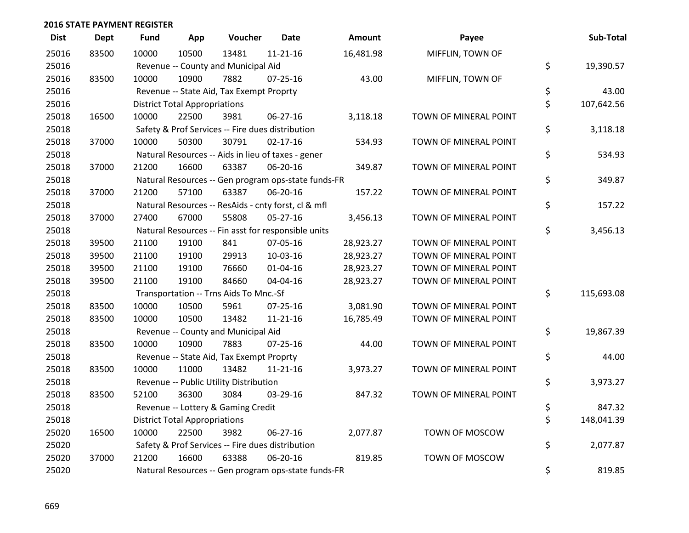| <b>Dist</b> | <b>Dept</b> | <b>Fund</b> | App                                  | Voucher                                             | Date           | <b>Amount</b> | Payee                 | Sub-Total        |
|-------------|-------------|-------------|--------------------------------------|-----------------------------------------------------|----------------|---------------|-----------------------|------------------|
| 25016       | 83500       | 10000       | 10500                                | 13481                                               | $11 - 21 - 16$ | 16,481.98     | MIFFLIN, TOWN OF      |                  |
| 25016       |             |             |                                      | Revenue -- County and Municipal Aid                 |                |               |                       | \$<br>19,390.57  |
| 25016       | 83500       | 10000       | 10900                                | 7882                                                | 07-25-16       | 43.00         | MIFFLIN, TOWN OF      |                  |
| 25016       |             |             |                                      | Revenue -- State Aid, Tax Exempt Proprty            |                |               |                       | \$<br>43.00      |
| 25016       |             |             | <b>District Total Appropriations</b> |                                                     |                |               |                       | \$<br>107,642.56 |
| 25018       | 16500       | 10000       | 22500                                | 3981                                                | 06-27-16       | 3,118.18      | TOWN OF MINERAL POINT |                  |
| 25018       |             |             |                                      | Safety & Prof Services -- Fire dues distribution    |                |               |                       | \$<br>3,118.18   |
| 25018       | 37000       | 10000       | 50300                                | 30791                                               | $02 - 17 - 16$ | 534.93        | TOWN OF MINERAL POINT |                  |
| 25018       |             |             |                                      | Natural Resources -- Aids in lieu of taxes - gener  |                |               |                       | \$<br>534.93     |
| 25018       | 37000       | 21200       | 16600                                | 63387                                               | 06-20-16       | 349.87        | TOWN OF MINERAL POINT |                  |
| 25018       |             |             |                                      | Natural Resources -- Gen program ops-state funds-FR |                |               |                       | \$<br>349.87     |
| 25018       | 37000       | 21200       | 57100                                | 63387                                               | 06-20-16       | 157.22        | TOWN OF MINERAL POINT |                  |
| 25018       |             |             |                                      | Natural Resources -- ResAids - cnty forst, cl & mfl |                |               |                       | \$<br>157.22     |
| 25018       | 37000       | 27400       | 67000                                | 55808                                               | $05 - 27 - 16$ | 3,456.13      | TOWN OF MINERAL POINT |                  |
| 25018       |             |             |                                      | Natural Resources -- Fin asst for responsible units |                |               |                       | \$<br>3,456.13   |
| 25018       | 39500       | 21100       | 19100                                | 841                                                 | 07-05-16       | 28,923.27     | TOWN OF MINERAL POINT |                  |
| 25018       | 39500       | 21100       | 19100                                | 29913                                               | 10-03-16       | 28,923.27     | TOWN OF MINERAL POINT |                  |
| 25018       | 39500       | 21100       | 19100                                | 76660                                               | 01-04-16       | 28,923.27     | TOWN OF MINERAL POINT |                  |
| 25018       | 39500       | 21100       | 19100                                | 84660                                               | 04-04-16       | 28,923.27     | TOWN OF MINERAL POINT |                  |
| 25018       |             |             |                                      | Transportation -- Trns Aids To Mnc.-Sf              |                |               |                       | \$<br>115,693.08 |
| 25018       | 83500       | 10000       | 10500                                | 5961                                                | $07 - 25 - 16$ | 3,081.90      | TOWN OF MINERAL POINT |                  |
| 25018       | 83500       | 10000       | 10500                                | 13482                                               | $11 - 21 - 16$ | 16,785.49     | TOWN OF MINERAL POINT |                  |
| 25018       |             |             |                                      | Revenue -- County and Municipal Aid                 |                |               |                       | \$<br>19,867.39  |
| 25018       | 83500       | 10000       | 10900                                | 7883                                                | $07 - 25 - 16$ | 44.00         | TOWN OF MINERAL POINT |                  |
| 25018       |             |             |                                      | Revenue -- State Aid, Tax Exempt Proprty            |                |               |                       | \$<br>44.00      |
| 25018       | 83500       | 10000       | 11000                                | 13482                                               | $11 - 21 - 16$ | 3,973.27      | TOWN OF MINERAL POINT |                  |
| 25018       |             |             |                                      | Revenue -- Public Utility Distribution              |                |               |                       | \$<br>3,973.27   |
| 25018       | 83500       | 52100       | 36300                                | 3084                                                | 03-29-16       | 847.32        | TOWN OF MINERAL POINT |                  |
| 25018       |             |             |                                      | Revenue -- Lottery & Gaming Credit                  |                |               |                       | \$<br>847.32     |
| 25018       |             |             | <b>District Total Appropriations</b> |                                                     |                |               |                       | \$<br>148,041.39 |
| 25020       | 16500       | 10000       | 22500                                | 3982                                                | $06 - 27 - 16$ | 2,077.87      | TOWN OF MOSCOW        |                  |
| 25020       |             |             |                                      | Safety & Prof Services -- Fire dues distribution    |                |               |                       | \$<br>2,077.87   |
| 25020       | 37000       | 21200       | 16600                                | 63388                                               | 06-20-16       | 819.85        | TOWN OF MOSCOW        |                  |
| 25020       |             |             |                                      | Natural Resources -- Gen program ops-state funds-FR |                |               |                       | \$<br>819.85     |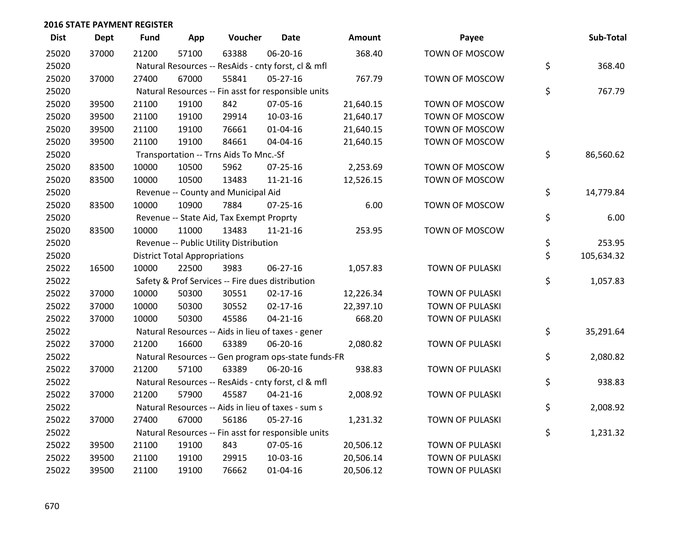| <b>Dist</b> | <b>Dept</b> | <b>Fund</b> | App                                  | Voucher                                  | <b>Date</b>                                         | Amount    | Payee                  | Sub-Total        |
|-------------|-------------|-------------|--------------------------------------|------------------------------------------|-----------------------------------------------------|-----------|------------------------|------------------|
| 25020       | 37000       | 21200       | 57100                                | 63388                                    | 06-20-16                                            | 368.40    | TOWN OF MOSCOW         |                  |
| 25020       |             |             |                                      |                                          | Natural Resources -- ResAids - cnty forst, cl & mfl |           |                        | \$<br>368.40     |
| 25020       | 37000       | 27400       | 67000                                | 55841                                    | 05-27-16                                            | 767.79    | TOWN OF MOSCOW         |                  |
| 25020       |             |             |                                      |                                          | Natural Resources -- Fin asst for responsible units |           |                        | \$<br>767.79     |
| 25020       | 39500       | 21100       | 19100                                | 842                                      | 07-05-16                                            | 21,640.15 | TOWN OF MOSCOW         |                  |
| 25020       | 39500       | 21100       | 19100                                | 29914                                    | 10-03-16                                            | 21,640.17 | TOWN OF MOSCOW         |                  |
| 25020       | 39500       | 21100       | 19100                                | 76661                                    | $01 - 04 - 16$                                      | 21,640.15 | TOWN OF MOSCOW         |                  |
| 25020       | 39500       | 21100       | 19100                                | 84661                                    | 04-04-16                                            | 21,640.15 | TOWN OF MOSCOW         |                  |
| 25020       |             |             |                                      | Transportation -- Trns Aids To Mnc.-Sf   |                                                     |           |                        | \$<br>86,560.62  |
| 25020       | 83500       | 10000       | 10500                                | 5962                                     | $07 - 25 - 16$                                      | 2,253.69  | TOWN OF MOSCOW         |                  |
| 25020       | 83500       | 10000       | 10500                                | 13483                                    | 11-21-16                                            | 12,526.15 | TOWN OF MOSCOW         |                  |
| 25020       |             |             |                                      | Revenue -- County and Municipal Aid      |                                                     |           |                        | \$<br>14,779.84  |
| 25020       | 83500       | 10000       | 10900                                | 7884                                     | $07 - 25 - 16$                                      | 6.00      | TOWN OF MOSCOW         |                  |
| 25020       |             |             |                                      | Revenue -- State Aid, Tax Exempt Proprty |                                                     |           |                        | \$<br>6.00       |
| 25020       | 83500       | 10000       | 11000                                | 13483                                    | $11 - 21 - 16$                                      | 253.95    | TOWN OF MOSCOW         |                  |
| 25020       |             |             |                                      | Revenue -- Public Utility Distribution   |                                                     |           |                        | \$<br>253.95     |
| 25020       |             |             | <b>District Total Appropriations</b> |                                          |                                                     |           |                        | \$<br>105,634.32 |
| 25022       | 16500       | 10000       | 22500                                | 3983                                     | 06-27-16                                            | 1,057.83  | TOWN OF PULASKI        |                  |
| 25022       |             |             |                                      |                                          | Safety & Prof Services -- Fire dues distribution    |           |                        | \$<br>1,057.83   |
| 25022       | 37000       | 10000       | 50300                                | 30551                                    | $02 - 17 - 16$                                      | 12,226.34 | TOWN OF PULASKI        |                  |
| 25022       | 37000       | 10000       | 50300                                | 30552                                    | $02 - 17 - 16$                                      | 22,397.10 | TOWN OF PULASKI        |                  |
| 25022       | 37000       | 10000       | 50300                                | 45586                                    | $04 - 21 - 16$                                      | 668.20    | <b>TOWN OF PULASKI</b> |                  |
| 25022       |             |             |                                      |                                          | Natural Resources -- Aids in lieu of taxes - gener  |           |                        | \$<br>35,291.64  |
| 25022       | 37000       | 21200       | 16600                                | 63389                                    | 06-20-16                                            | 2,080.82  | <b>TOWN OF PULASKI</b> |                  |
| 25022       |             |             |                                      |                                          | Natural Resources -- Gen program ops-state funds-FR |           |                        | \$<br>2,080.82   |
| 25022       | 37000       | 21200       | 57100                                | 63389                                    | 06-20-16                                            | 938.83    | TOWN OF PULASKI        |                  |
| 25022       |             |             |                                      |                                          | Natural Resources -- ResAids - cnty forst, cl & mfl |           |                        | \$<br>938.83     |
| 25022       | 37000       | 21200       | 57900                                | 45587                                    | $04 - 21 - 16$                                      | 2,008.92  | <b>TOWN OF PULASKI</b> |                  |
| 25022       |             |             |                                      |                                          | Natural Resources -- Aids in lieu of taxes - sum s  |           |                        | \$<br>2,008.92   |
| 25022       | 37000       | 27400       | 67000                                | 56186                                    | $05 - 27 - 16$                                      | 1,231.32  | <b>TOWN OF PULASKI</b> |                  |
| 25022       |             |             |                                      |                                          | Natural Resources -- Fin asst for responsible units |           |                        | \$<br>1,231.32   |
| 25022       | 39500       | 21100       | 19100                                | 843                                      | 07-05-16                                            | 20,506.12 | <b>TOWN OF PULASKI</b> |                  |
| 25022       | 39500       | 21100       | 19100                                | 29915                                    | 10-03-16                                            | 20,506.14 | TOWN OF PULASKI        |                  |
| 25022       | 39500       | 21100       | 19100                                | 76662                                    | $01 - 04 - 16$                                      | 20,506.12 | <b>TOWN OF PULASKI</b> |                  |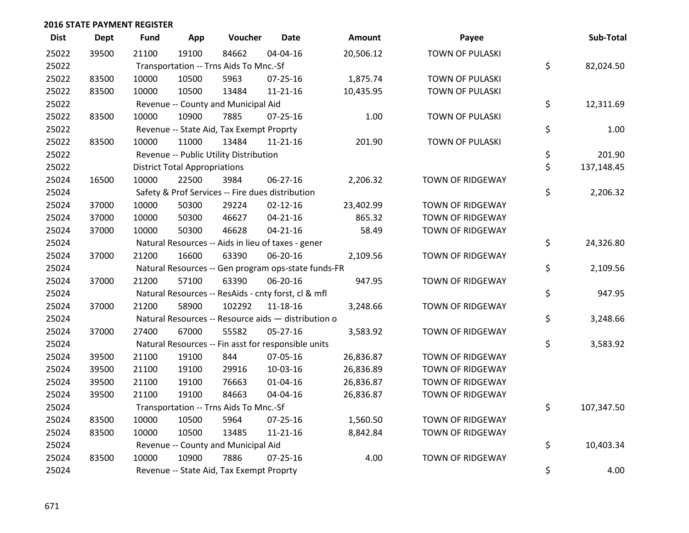| <b>Dist</b> | <b>Dept</b> | <b>Fund</b> | App                                  | Voucher                                             | <b>Date</b>    | Amount    | Payee                   | Sub-Total        |
|-------------|-------------|-------------|--------------------------------------|-----------------------------------------------------|----------------|-----------|-------------------------|------------------|
| 25022       | 39500       | 21100       | 19100                                | 84662                                               | 04-04-16       | 20,506.12 | <b>TOWN OF PULASKI</b>  |                  |
| 25022       |             |             |                                      | Transportation -- Trns Aids To Mnc.-Sf              |                |           |                         | \$<br>82,024.50  |
| 25022       | 83500       | 10000       | 10500                                | 5963                                                | 07-25-16       | 1,875.74  | <b>TOWN OF PULASKI</b>  |                  |
| 25022       | 83500       | 10000       | 10500                                | 13484                                               | $11 - 21 - 16$ | 10,435.95 | <b>TOWN OF PULASKI</b>  |                  |
| 25022       |             |             |                                      | Revenue -- County and Municipal Aid                 |                |           |                         | \$<br>12,311.69  |
| 25022       | 83500       | 10000       | 10900                                | 7885                                                | 07-25-16       | 1.00      | TOWN OF PULASKI         |                  |
| 25022       |             |             |                                      | Revenue -- State Aid, Tax Exempt Proprty            |                |           |                         | \$<br>1.00       |
| 25022       | 83500       | 10000       | 11000                                | 13484                                               | $11 - 21 - 16$ | 201.90    | <b>TOWN OF PULASKI</b>  |                  |
| 25022       |             |             |                                      | Revenue -- Public Utility Distribution              |                |           |                         | \$<br>201.90     |
| 25022       |             |             | <b>District Total Appropriations</b> |                                                     |                |           |                         | \$<br>137,148.45 |
| 25024       | 16500       | 10000       | 22500                                | 3984                                                | 06-27-16       | 2,206.32  | TOWN OF RIDGEWAY        |                  |
| 25024       |             |             |                                      | Safety & Prof Services -- Fire dues distribution    |                |           |                         | \$<br>2,206.32   |
| 25024       | 37000       | 10000       | 50300                                | 29224                                               | $02 - 12 - 16$ | 23,402.99 | TOWN OF RIDGEWAY        |                  |
| 25024       | 37000       | 10000       | 50300                                | 46627                                               | $04 - 21 - 16$ | 865.32    | TOWN OF RIDGEWAY        |                  |
| 25024       | 37000       | 10000       | 50300                                | 46628                                               | $04 - 21 - 16$ | 58.49     | <b>TOWN OF RIDGEWAY</b> |                  |
| 25024       |             |             |                                      | Natural Resources -- Aids in lieu of taxes - gener  |                |           |                         | \$<br>24,326.80  |
| 25024       | 37000       | 21200       | 16600                                | 63390                                               | 06-20-16       | 2,109.56  | TOWN OF RIDGEWAY        |                  |
| 25024       |             |             |                                      | Natural Resources -- Gen program ops-state funds-FR |                |           |                         | \$<br>2,109.56   |
| 25024       | 37000       | 21200       | 57100                                | 63390                                               | 06-20-16       | 947.95    | <b>TOWN OF RIDGEWAY</b> |                  |
| 25024       |             |             |                                      | Natural Resources -- ResAids - cnty forst, cl & mfl |                |           |                         | \$<br>947.95     |
| 25024       | 37000       | 21200       | 58900                                | 102292                                              | 11-18-16       | 3,248.66  | TOWN OF RIDGEWAY        |                  |
| 25024       |             |             |                                      | Natural Resources -- Resource aids - distribution o |                |           |                         | \$<br>3,248.66   |
| 25024       | 37000       | 27400       | 67000                                | 55582                                               | $05 - 27 - 16$ | 3,583.92  | <b>TOWN OF RIDGEWAY</b> |                  |
| 25024       |             |             |                                      | Natural Resources -- Fin asst for responsible units |                |           |                         | \$<br>3,583.92   |
| 25024       | 39500       | 21100       | 19100                                | 844                                                 | 07-05-16       | 26,836.87 | TOWN OF RIDGEWAY        |                  |
| 25024       | 39500       | 21100       | 19100                                | 29916                                               | 10-03-16       | 26,836.89 | <b>TOWN OF RIDGEWAY</b> |                  |
| 25024       | 39500       | 21100       | 19100                                | 76663                                               | $01 - 04 - 16$ | 26,836.87 | <b>TOWN OF RIDGEWAY</b> |                  |
| 25024       | 39500       | 21100       | 19100                                | 84663                                               | 04-04-16       | 26,836.87 | TOWN OF RIDGEWAY        |                  |
| 25024       |             |             |                                      | Transportation -- Trns Aids To Mnc.-Sf              |                |           |                         | \$<br>107,347.50 |
| 25024       | 83500       | 10000       | 10500                                | 5964                                                | 07-25-16       | 1,560.50  | <b>TOWN OF RIDGEWAY</b> |                  |
| 25024       | 83500       | 10000       | 10500                                | 13485                                               | $11 - 21 - 16$ | 8,842.84  | TOWN OF RIDGEWAY        |                  |
| 25024       |             |             |                                      | Revenue -- County and Municipal Aid                 |                |           |                         | \$<br>10,403.34  |
| 25024       | 83500       | 10000       | 10900                                | 7886                                                | $07 - 25 - 16$ | 4.00      | <b>TOWN OF RIDGEWAY</b> |                  |
| 25024       |             |             |                                      | Revenue -- State Aid, Tax Exempt Proprty            |                |           |                         | \$<br>4.00       |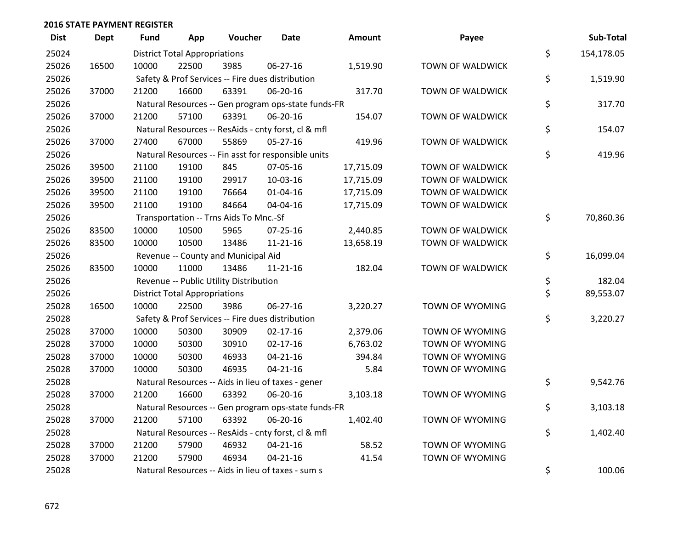| <b>Dist</b> | <b>Dept</b> | <b>Fund</b> | App                                  | Voucher                                             | <b>Date</b>    | Amount    | Payee                  | Sub-Total        |
|-------------|-------------|-------------|--------------------------------------|-----------------------------------------------------|----------------|-----------|------------------------|------------------|
| 25024       |             |             | <b>District Total Appropriations</b> |                                                     |                |           |                        | \$<br>154,178.05 |
| 25026       | 16500       | 10000       | 22500                                | 3985                                                | 06-27-16       | 1,519.90  | TOWN OF WALDWICK       |                  |
| 25026       |             |             |                                      | Safety & Prof Services -- Fire dues distribution    |                |           |                        | \$<br>1,519.90   |
| 25026       | 37000       | 21200       | 16600                                | 63391                                               | 06-20-16       | 317.70    | TOWN OF WALDWICK       |                  |
| 25026       |             |             |                                      | Natural Resources -- Gen program ops-state funds-FR |                |           |                        | \$<br>317.70     |
| 25026       | 37000       | 21200       | 57100                                | 63391                                               | 06-20-16       | 154.07    | TOWN OF WALDWICK       |                  |
| 25026       |             |             |                                      | Natural Resources -- ResAids - cnty forst, cl & mfl |                |           |                        | \$<br>154.07     |
| 25026       | 37000       | 27400       | 67000                                | 55869                                               | 05-27-16       | 419.96    | TOWN OF WALDWICK       |                  |
| 25026       |             |             |                                      | Natural Resources -- Fin asst for responsible units |                |           |                        | \$<br>419.96     |
| 25026       | 39500       | 21100       | 19100                                | 845                                                 | 07-05-16       | 17,715.09 | TOWN OF WALDWICK       |                  |
| 25026       | 39500       | 21100       | 19100                                | 29917                                               | 10-03-16       | 17,715.09 | TOWN OF WALDWICK       |                  |
| 25026       | 39500       | 21100       | 19100                                | 76664                                               | $01 - 04 - 16$ | 17,715.09 | TOWN OF WALDWICK       |                  |
| 25026       | 39500       | 21100       | 19100                                | 84664                                               | 04-04-16       | 17,715.09 | TOWN OF WALDWICK       |                  |
| 25026       |             |             |                                      | Transportation -- Trns Aids To Mnc.-Sf              |                |           |                        | \$<br>70,860.36  |
| 25026       | 83500       | 10000       | 10500                                | 5965                                                | 07-25-16       | 2,440.85  | TOWN OF WALDWICK       |                  |
| 25026       | 83500       | 10000       | 10500                                | 13486                                               | $11 - 21 - 16$ | 13,658.19 | TOWN OF WALDWICK       |                  |
| 25026       |             |             |                                      | Revenue -- County and Municipal Aid                 |                |           |                        | \$<br>16,099.04  |
| 25026       | 83500       | 10000       | 11000                                | 13486                                               | $11 - 21 - 16$ | 182.04    | TOWN OF WALDWICK       |                  |
| 25026       |             |             |                                      | Revenue -- Public Utility Distribution              |                |           |                        | \$<br>182.04     |
| 25026       |             |             | <b>District Total Appropriations</b> |                                                     |                |           |                        | \$<br>89,553.07  |
| 25028       | 16500       | 10000       | 22500                                | 3986                                                | 06-27-16       | 3,220.27  | TOWN OF WYOMING        |                  |
| 25028       |             |             |                                      | Safety & Prof Services -- Fire dues distribution    |                |           |                        | \$<br>3,220.27   |
| 25028       | 37000       | 10000       | 50300                                | 30909                                               | $02 - 17 - 16$ | 2,379.06  | TOWN OF WYOMING        |                  |
| 25028       | 37000       | 10000       | 50300                                | 30910                                               | $02 - 17 - 16$ | 6,763.02  | <b>TOWN OF WYOMING</b> |                  |
| 25028       | 37000       | 10000       | 50300                                | 46933                                               | $04 - 21 - 16$ | 394.84    | TOWN OF WYOMING        |                  |
| 25028       | 37000       | 10000       | 50300                                | 46935                                               | $04 - 21 - 16$ | 5.84      | TOWN OF WYOMING        |                  |
| 25028       |             |             |                                      | Natural Resources -- Aids in lieu of taxes - gener  |                |           |                        | \$<br>9,542.76   |
| 25028       | 37000       | 21200       | 16600                                | 63392                                               | 06-20-16       | 3,103.18  | TOWN OF WYOMING        |                  |
| 25028       |             |             |                                      | Natural Resources -- Gen program ops-state funds-FR |                |           |                        | \$<br>3,103.18   |
| 25028       | 37000       | 21200       | 57100                                | 63392                                               | 06-20-16       | 1,402.40  | TOWN OF WYOMING        |                  |
| 25028       |             |             |                                      | Natural Resources -- ResAids - cnty forst, cl & mfl |                |           |                        | \$<br>1,402.40   |
| 25028       | 37000       | 21200       | 57900                                | 46932                                               | $04 - 21 - 16$ | 58.52     | TOWN OF WYOMING        |                  |
| 25028       | 37000       | 21200       | 57900                                | 46934                                               | $04 - 21 - 16$ | 41.54     | <b>TOWN OF WYOMING</b> |                  |
| 25028       |             |             |                                      | Natural Resources -- Aids in lieu of taxes - sum s  |                |           |                        | \$<br>100.06     |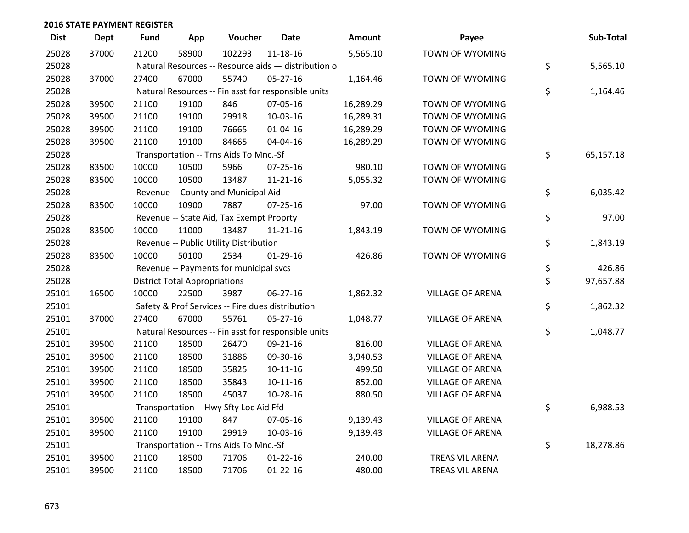| <b>Dist</b> | <b>Dept</b> | <b>Fund</b> | App                                  | Voucher                                             | <b>Date</b>    | Amount    | Payee                   | Sub-Total       |
|-------------|-------------|-------------|--------------------------------------|-----------------------------------------------------|----------------|-----------|-------------------------|-----------------|
| 25028       | 37000       | 21200       | 58900                                | 102293                                              | $11 - 18 - 16$ | 5,565.10  | TOWN OF WYOMING         |                 |
| 25028       |             |             |                                      | Natural Resources -- Resource aids - distribution o |                |           |                         | \$<br>5,565.10  |
| 25028       | 37000       | 27400       | 67000                                | 55740                                               | $05 - 27 - 16$ | 1,164.46  | TOWN OF WYOMING         |                 |
| 25028       |             |             |                                      | Natural Resources -- Fin asst for responsible units |                |           |                         | \$<br>1,164.46  |
| 25028       | 39500       | 21100       | 19100                                | 846                                                 | 07-05-16       | 16,289.29 | TOWN OF WYOMING         |                 |
| 25028       | 39500       | 21100       | 19100                                | 29918                                               | 10-03-16       | 16,289.31 | TOWN OF WYOMING         |                 |
| 25028       | 39500       | 21100       | 19100                                | 76665                                               | $01 - 04 - 16$ | 16,289.29 | TOWN OF WYOMING         |                 |
| 25028       | 39500       | 21100       | 19100                                | 84665                                               | 04-04-16       | 16,289.29 | TOWN OF WYOMING         |                 |
| 25028       |             |             |                                      | Transportation -- Trns Aids To Mnc.-Sf              |                |           |                         | \$<br>65,157.18 |
| 25028       | 83500       | 10000       | 10500                                | 5966                                                | $07 - 25 - 16$ | 980.10    | TOWN OF WYOMING         |                 |
| 25028       | 83500       | 10000       | 10500                                | 13487                                               | $11 - 21 - 16$ | 5,055.32  | TOWN OF WYOMING         |                 |
| 25028       |             |             |                                      | Revenue -- County and Municipal Aid                 |                |           |                         | \$<br>6,035.42  |
| 25028       | 83500       | 10000       | 10900                                | 7887                                                | $07 - 25 - 16$ | 97.00     | TOWN OF WYOMING         |                 |
| 25028       |             |             |                                      | Revenue -- State Aid, Tax Exempt Proprty            |                |           |                         | \$<br>97.00     |
| 25028       | 83500       | 10000       | 11000                                | 13487                                               | $11 - 21 - 16$ | 1,843.19  | TOWN OF WYOMING         |                 |
| 25028       |             |             |                                      | Revenue -- Public Utility Distribution              |                |           |                         | \$<br>1,843.19  |
| 25028       | 83500       | 10000       | 50100                                | 2534                                                | $01-29-16$     | 426.86    | TOWN OF WYOMING         |                 |
| 25028       |             |             |                                      | Revenue -- Payments for municipal svcs              |                |           |                         | \$<br>426.86    |
| 25028       |             |             | <b>District Total Appropriations</b> |                                                     |                |           |                         | \$<br>97,657.88 |
| 25101       | 16500       | 10000       | 22500                                | 3987                                                | 06-27-16       | 1,862.32  | VILLAGE OF ARENA        |                 |
| 25101       |             |             |                                      | Safety & Prof Services -- Fire dues distribution    |                |           |                         | \$<br>1,862.32  |
| 25101       | 37000       | 27400       | 67000                                | 55761                                               | 05-27-16       | 1,048.77  | VILLAGE OF ARENA        |                 |
| 25101       |             |             |                                      | Natural Resources -- Fin asst for responsible units |                |           |                         | \$<br>1,048.77  |
| 25101       | 39500       | 21100       | 18500                                | 26470                                               | 09-21-16       | 816.00    | <b>VILLAGE OF ARENA</b> |                 |
| 25101       | 39500       | 21100       | 18500                                | 31886                                               | 09-30-16       | 3,940.53  | <b>VILLAGE OF ARENA</b> |                 |
| 25101       | 39500       | 21100       | 18500                                | 35825                                               | $10 - 11 - 16$ | 499.50    | <b>VILLAGE OF ARENA</b> |                 |
| 25101       | 39500       | 21100       | 18500                                | 35843                                               | $10-11-16$     | 852.00    | <b>VILLAGE OF ARENA</b> |                 |
| 25101       | 39500       | 21100       | 18500                                | 45037                                               | 10-28-16       | 880.50    | VILLAGE OF ARENA        |                 |
| 25101       |             |             |                                      | Transportation -- Hwy Sfty Loc Aid Ffd              |                |           |                         | \$<br>6,988.53  |
| 25101       | 39500       | 21100       | 19100                                | 847                                                 | 07-05-16       | 9,139.43  | VILLAGE OF ARENA        |                 |
| 25101       | 39500       | 21100       | 19100                                | 29919                                               | 10-03-16       | 9,139.43  | <b>VILLAGE OF ARENA</b> |                 |
| 25101       |             |             |                                      | Transportation -- Trns Aids To Mnc.-Sf              |                |           |                         | \$<br>18,278.86 |
| 25101       | 39500       | 21100       | 18500                                | 71706                                               | $01 - 22 - 16$ | 240.00    | TREAS VIL ARENA         |                 |
| 25101       | 39500       | 21100       | 18500                                | 71706                                               | $01 - 22 - 16$ | 480.00    | TREAS VIL ARENA         |                 |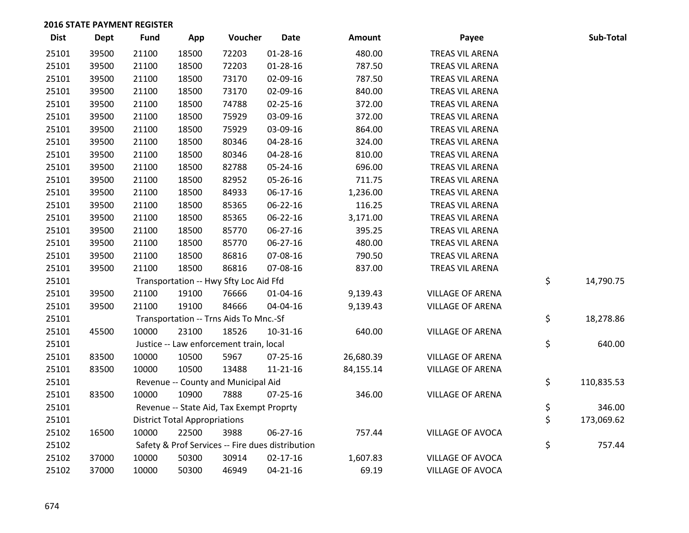| <b>Dist</b> | <b>Dept</b> | <b>Fund</b> | App                                  | Voucher                                          | Date           | Amount    | Payee                   | Sub-Total        |
|-------------|-------------|-------------|--------------------------------------|--------------------------------------------------|----------------|-----------|-------------------------|------------------|
| 25101       | 39500       | 21100       | 18500                                | 72203                                            | $01 - 28 - 16$ | 480.00    | TREAS VIL ARENA         |                  |
| 25101       | 39500       | 21100       | 18500                                | 72203                                            | $01 - 28 - 16$ | 787.50    | TREAS VIL ARENA         |                  |
| 25101       | 39500       | 21100       | 18500                                | 73170                                            | 02-09-16       | 787.50    | TREAS VIL ARENA         |                  |
| 25101       | 39500       | 21100       | 18500                                | 73170                                            | 02-09-16       | 840.00    | TREAS VIL ARENA         |                  |
| 25101       | 39500       | 21100       | 18500                                | 74788                                            | 02-25-16       | 372.00    | TREAS VIL ARENA         |                  |
| 25101       | 39500       | 21100       | 18500                                | 75929                                            | 03-09-16       | 372.00    | TREAS VIL ARENA         |                  |
| 25101       | 39500       | 21100       | 18500                                | 75929                                            | 03-09-16       | 864.00    | TREAS VIL ARENA         |                  |
| 25101       | 39500       | 21100       | 18500                                | 80346                                            | 04-28-16       | 324.00    | TREAS VIL ARENA         |                  |
| 25101       | 39500       | 21100       | 18500                                | 80346                                            | 04-28-16       | 810.00    | TREAS VIL ARENA         |                  |
| 25101       | 39500       | 21100       | 18500                                | 82788                                            | 05-24-16       | 696.00    | TREAS VIL ARENA         |                  |
| 25101       | 39500       | 21100       | 18500                                | 82952                                            | 05-26-16       | 711.75    | TREAS VIL ARENA         |                  |
| 25101       | 39500       | 21100       | 18500                                | 84933                                            | 06-17-16       | 1,236.00  | TREAS VIL ARENA         |                  |
| 25101       | 39500       | 21100       | 18500                                | 85365                                            | 06-22-16       | 116.25    | TREAS VIL ARENA         |                  |
| 25101       | 39500       | 21100       | 18500                                | 85365                                            | 06-22-16       | 3,171.00  | TREAS VIL ARENA         |                  |
| 25101       | 39500       | 21100       | 18500                                | 85770                                            | 06-27-16       | 395.25    | TREAS VIL ARENA         |                  |
| 25101       | 39500       | 21100       | 18500                                | 85770                                            | 06-27-16       | 480.00    | TREAS VIL ARENA         |                  |
| 25101       | 39500       | 21100       | 18500                                | 86816                                            | 07-08-16       | 790.50    | TREAS VIL ARENA         |                  |
| 25101       | 39500       | 21100       | 18500                                | 86816                                            | 07-08-16       | 837.00    | TREAS VIL ARENA         |                  |
| 25101       |             |             |                                      | Transportation -- Hwy Sfty Loc Aid Ffd           |                |           |                         | \$<br>14,790.75  |
| 25101       | 39500       | 21100       | 19100                                | 76666                                            | 01-04-16       | 9,139.43  | VILLAGE OF ARENA        |                  |
| 25101       | 39500       | 21100       | 19100                                | 84666                                            | 04-04-16       | 9,139.43  | <b>VILLAGE OF ARENA</b> |                  |
| 25101       |             |             |                                      | Transportation -- Trns Aids To Mnc.-Sf           |                |           |                         | \$<br>18,278.86  |
| 25101       | 45500       | 10000       | 23100                                | 18526                                            | $10 - 31 - 16$ | 640.00    | <b>VILLAGE OF ARENA</b> |                  |
| 25101       |             |             |                                      | Justice -- Law enforcement train, local          |                |           |                         | \$<br>640.00     |
| 25101       | 83500       | 10000       | 10500                                | 5967                                             | 07-25-16       | 26,680.39 | VILLAGE OF ARENA        |                  |
| 25101       | 83500       | 10000       | 10500                                | 13488                                            | $11 - 21 - 16$ | 84,155.14 | VILLAGE OF ARENA        |                  |
| 25101       |             |             |                                      | Revenue -- County and Municipal Aid              |                |           |                         | \$<br>110,835.53 |
| 25101       | 83500       | 10000       | 10900                                | 7888                                             | $07 - 25 - 16$ | 346.00    | <b>VILLAGE OF ARENA</b> |                  |
| 25101       |             |             |                                      | Revenue -- State Aid, Tax Exempt Proprty         |                |           |                         | \$<br>346.00     |
| 25101       |             |             | <b>District Total Appropriations</b> |                                                  |                |           |                         | \$<br>173,069.62 |
| 25102       | 16500       | 10000       | 22500                                | 3988                                             | 06-27-16       | 757.44    | VILLAGE OF AVOCA        |                  |
| 25102       |             |             |                                      | Safety & Prof Services -- Fire dues distribution |                |           |                         | \$<br>757.44     |
| 25102       | 37000       | 10000       | 50300                                | 30914                                            | $02 - 17 - 16$ | 1,607.83  | VILLAGE OF AVOCA        |                  |
| 25102       | 37000       | 10000       | 50300                                | 46949                                            | $04 - 21 - 16$ | 69.19     | VILLAGE OF AVOCA        |                  |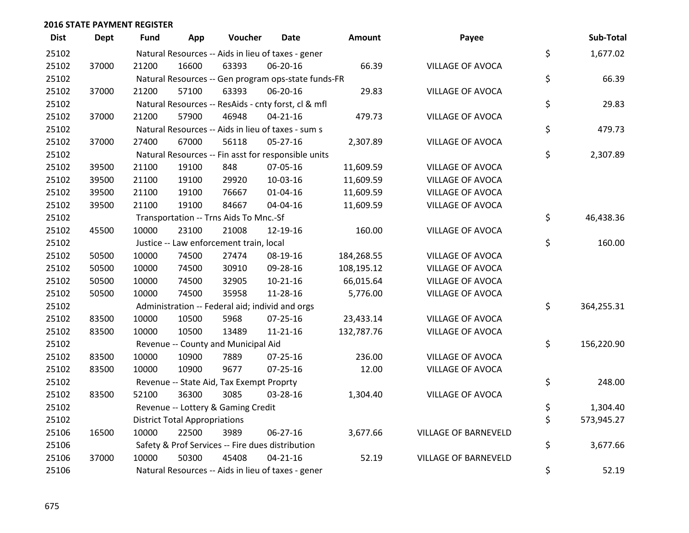| <b>Dist</b> | <b>Dept</b> | <b>Fund</b> | App                                  | Voucher                                             | <b>Date</b>    | Amount     | Payee                       | Sub-Total        |
|-------------|-------------|-------------|--------------------------------------|-----------------------------------------------------|----------------|------------|-----------------------------|------------------|
| 25102       |             |             |                                      | Natural Resources -- Aids in lieu of taxes - gener  |                |            |                             | \$<br>1,677.02   |
| 25102       | 37000       | 21200       | 16600                                | 63393                                               | 06-20-16       | 66.39      | VILLAGE OF AVOCA            |                  |
| 25102       |             |             |                                      | Natural Resources -- Gen program ops-state funds-FR |                |            |                             | \$<br>66.39      |
| 25102       | 37000       | 21200       | 57100                                | 63393                                               | 06-20-16       | 29.83      | VILLAGE OF AVOCA            |                  |
| 25102       |             |             |                                      | Natural Resources -- ResAids - cnty forst, cl & mfl |                |            |                             | \$<br>29.83      |
| 25102       | 37000       | 21200       | 57900                                | 46948                                               | $04 - 21 - 16$ | 479.73     | VILLAGE OF AVOCA            |                  |
| 25102       |             |             |                                      | Natural Resources -- Aids in lieu of taxes - sum s  |                |            |                             | \$<br>479.73     |
| 25102       | 37000       | 27400       | 67000                                | 56118                                               | 05-27-16       | 2,307.89   | VILLAGE OF AVOCA            |                  |
| 25102       |             |             |                                      | Natural Resources -- Fin asst for responsible units |                |            |                             | \$<br>2,307.89   |
| 25102       | 39500       | 21100       | 19100                                | 848                                                 | 07-05-16       | 11,609.59  | VILLAGE OF AVOCA            |                  |
| 25102       | 39500       | 21100       | 19100                                | 29920                                               | 10-03-16       | 11,609.59  | VILLAGE OF AVOCA            |                  |
| 25102       | 39500       | 21100       | 19100                                | 76667                                               | $01 - 04 - 16$ | 11,609.59  | VILLAGE OF AVOCA            |                  |
| 25102       | 39500       | 21100       | 19100                                | 84667                                               | 04-04-16       | 11,609.59  | VILLAGE OF AVOCA            |                  |
| 25102       |             |             |                                      | Transportation -- Trns Aids To Mnc.-Sf              |                |            |                             | \$<br>46,438.36  |
| 25102       | 45500       | 10000       | 23100                                | 21008                                               | 12-19-16       | 160.00     | VILLAGE OF AVOCA            |                  |
| 25102       |             |             |                                      | Justice -- Law enforcement train, local             |                |            |                             | \$<br>160.00     |
| 25102       | 50500       | 10000       | 74500                                | 27474                                               | 08-19-16       | 184,268.55 | VILLAGE OF AVOCA            |                  |
| 25102       | 50500       | 10000       | 74500                                | 30910                                               | 09-28-16       | 108,195.12 | VILLAGE OF AVOCA            |                  |
| 25102       | 50500       | 10000       | 74500                                | 32905                                               | $10-21-16$     | 66,015.64  | VILLAGE OF AVOCA            |                  |
| 25102       | 50500       | 10000       | 74500                                | 35958                                               | 11-28-16       | 5,776.00   | VILLAGE OF AVOCA            |                  |
| 25102       |             |             |                                      | Administration -- Federal aid; individ and orgs     |                |            |                             | \$<br>364,255.31 |
| 25102       | 83500       | 10000       | 10500                                | 5968                                                | $07 - 25 - 16$ | 23,433.14  | VILLAGE OF AVOCA            |                  |
| 25102       | 83500       | 10000       | 10500                                | 13489                                               | $11 - 21 - 16$ | 132,787.76 | VILLAGE OF AVOCA            |                  |
| 25102       |             |             |                                      | Revenue -- County and Municipal Aid                 |                |            |                             | \$<br>156,220.90 |
| 25102       | 83500       | 10000       | 10900                                | 7889                                                | $07 - 25 - 16$ | 236.00     | VILLAGE OF AVOCA            |                  |
| 25102       | 83500       | 10000       | 10900                                | 9677                                                | $07 - 25 - 16$ | 12.00      | VILLAGE OF AVOCA            |                  |
| 25102       |             |             |                                      | Revenue -- State Aid, Tax Exempt Proprty            |                |            |                             | \$<br>248.00     |
| 25102       | 83500       | 52100       | 36300                                | 3085                                                | 03-28-16       | 1,304.40   | VILLAGE OF AVOCA            |                  |
| 25102       |             |             |                                      | Revenue -- Lottery & Gaming Credit                  |                |            |                             | \$<br>1,304.40   |
| 25102       |             |             | <b>District Total Appropriations</b> |                                                     |                |            |                             | \$<br>573,945.27 |
| 25106       | 16500       | 10000       | 22500                                | 3989                                                | 06-27-16       | 3,677.66   | <b>VILLAGE OF BARNEVELD</b> |                  |
| 25106       |             |             |                                      | Safety & Prof Services -- Fire dues distribution    |                |            |                             | \$<br>3,677.66   |
| 25106       | 37000       | 10000       | 50300                                | 45408                                               | $04 - 21 - 16$ | 52.19      | <b>VILLAGE OF BARNEVELD</b> |                  |
| 25106       |             |             |                                      | Natural Resources -- Aids in lieu of taxes - gener  |                |            |                             | \$<br>52.19      |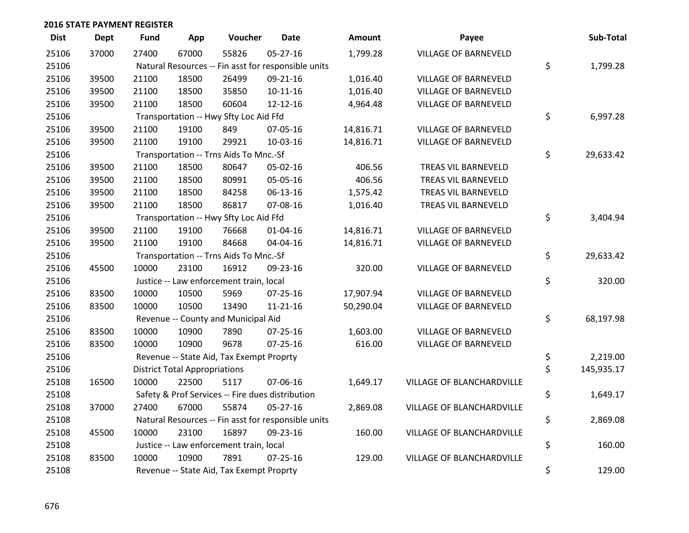| <b>Dist</b> | <b>Dept</b> | <b>Fund</b> | App                                  | Voucher                                  | <b>Date</b>                                         | Amount    | Payee                       | Sub-Total        |
|-------------|-------------|-------------|--------------------------------------|------------------------------------------|-----------------------------------------------------|-----------|-----------------------------|------------------|
| 25106       | 37000       | 27400       | 67000                                | 55826                                    | $05 - 27 - 16$                                      | 1,799.28  | <b>VILLAGE OF BARNEVELD</b> |                  |
| 25106       |             |             |                                      |                                          | Natural Resources -- Fin asst for responsible units |           |                             | \$<br>1,799.28   |
| 25106       | 39500       | 21100       | 18500                                | 26499                                    | 09-21-16                                            | 1,016.40  | VILLAGE OF BARNEVELD        |                  |
| 25106       | 39500       | 21100       | 18500                                | 35850                                    | $10 - 11 - 16$                                      | 1,016.40  | <b>VILLAGE OF BARNEVELD</b> |                  |
| 25106       | 39500       | 21100       | 18500                                | 60604                                    | 12-12-16                                            | 4,964.48  | VILLAGE OF BARNEVELD        |                  |
| 25106       |             |             |                                      | Transportation -- Hwy Sfty Loc Aid Ffd   |                                                     |           |                             | \$<br>6,997.28   |
| 25106       | 39500       | 21100       | 19100                                | 849                                      | 07-05-16                                            | 14,816.71 | VILLAGE OF BARNEVELD        |                  |
| 25106       | 39500       | 21100       | 19100                                | 29921                                    | 10-03-16                                            | 14,816.71 | VILLAGE OF BARNEVELD        |                  |
| 25106       |             |             |                                      | Transportation -- Trns Aids To Mnc.-Sf   |                                                     |           |                             | \$<br>29,633.42  |
| 25106       | 39500       | 21100       | 18500                                | 80647                                    | 05-02-16                                            | 406.56    | TREAS VIL BARNEVELD         |                  |
| 25106       | 39500       | 21100       | 18500                                | 80991                                    | 05-05-16                                            | 406.56    | TREAS VIL BARNEVELD         |                  |
| 25106       | 39500       | 21100       | 18500                                | 84258                                    | 06-13-16                                            | 1,575.42  | TREAS VIL BARNEVELD         |                  |
| 25106       | 39500       | 21100       | 18500                                | 86817                                    | 07-08-16                                            | 1,016.40  | TREAS VIL BARNEVELD         |                  |
| 25106       |             |             |                                      | Transportation -- Hwy Sfty Loc Aid Ffd   |                                                     |           |                             | \$<br>3,404.94   |
| 25106       | 39500       | 21100       | 19100                                | 76668                                    | $01 - 04 - 16$                                      | 14,816.71 | VILLAGE OF BARNEVELD        |                  |
| 25106       | 39500       | 21100       | 19100                                | 84668                                    | 04-04-16                                            | 14,816.71 | VILLAGE OF BARNEVELD        |                  |
| 25106       |             |             |                                      | Transportation -- Trns Aids To Mnc.-Sf   |                                                     |           |                             | \$<br>29,633.42  |
| 25106       | 45500       | 10000       | 23100                                | 16912                                    | 09-23-16                                            | 320.00    | <b>VILLAGE OF BARNEVELD</b> |                  |
| 25106       |             |             |                                      | Justice -- Law enforcement train, local  |                                                     |           |                             | \$<br>320.00     |
| 25106       | 83500       | 10000       | 10500                                | 5969                                     | $07 - 25 - 16$                                      | 17,907.94 | <b>VILLAGE OF BARNEVELD</b> |                  |
| 25106       | 83500       | 10000       | 10500                                | 13490                                    | $11 - 21 - 16$                                      | 50,290.04 | <b>VILLAGE OF BARNEVELD</b> |                  |
| 25106       |             |             |                                      | Revenue -- County and Municipal Aid      |                                                     |           |                             | \$<br>68,197.98  |
| 25106       | 83500       | 10000       | 10900                                | 7890                                     | $07 - 25 - 16$                                      | 1,603.00  | VILLAGE OF BARNEVELD        |                  |
| 25106       | 83500       | 10000       | 10900                                | 9678                                     | $07 - 25 - 16$                                      | 616.00    | VILLAGE OF BARNEVELD        |                  |
| 25106       |             |             |                                      | Revenue -- State Aid, Tax Exempt Proprty |                                                     |           |                             | \$<br>2,219.00   |
| 25106       |             |             | <b>District Total Appropriations</b> |                                          |                                                     |           |                             | \$<br>145,935.17 |
| 25108       | 16500       | 10000       | 22500                                | 5117                                     | 07-06-16                                            | 1,649.17  | VILLAGE OF BLANCHARDVILLE   |                  |
| 25108       |             |             |                                      |                                          | Safety & Prof Services -- Fire dues distribution    |           |                             | \$<br>1,649.17   |
| 25108       | 37000       | 27400       | 67000                                | 55874                                    | 05-27-16                                            | 2,869.08  | VILLAGE OF BLANCHARDVILLE   |                  |
| 25108       |             |             |                                      |                                          | Natural Resources -- Fin asst for responsible units |           |                             | \$<br>2,869.08   |
| 25108       | 45500       | 10000       | 23100                                | 16897                                    | 09-23-16                                            | 160.00    | VILLAGE OF BLANCHARDVILLE   |                  |
| 25108       |             |             |                                      | Justice -- Law enforcement train, local  |                                                     |           |                             | \$<br>160.00     |
| 25108       | 83500       | 10000       | 10900                                | 7891                                     | $07 - 25 - 16$                                      | 129.00    | VILLAGE OF BLANCHARDVILLE   |                  |
| 25108       |             |             |                                      | Revenue -- State Aid, Tax Exempt Proprty |                                                     |           |                             | \$<br>129.00     |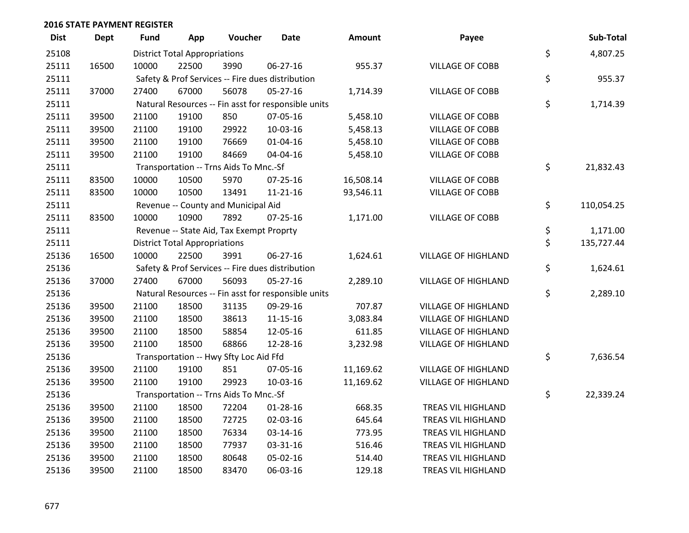| <b>Dist</b> | <b>Dept</b> | <b>Fund</b> | App                                  | Voucher                                  | <b>Date</b>                                         | Amount    | Payee                      | Sub-Total        |
|-------------|-------------|-------------|--------------------------------------|------------------------------------------|-----------------------------------------------------|-----------|----------------------------|------------------|
| 25108       |             |             | <b>District Total Appropriations</b> |                                          |                                                     |           |                            | \$<br>4,807.25   |
| 25111       | 16500       | 10000       | 22500                                | 3990                                     | 06-27-16                                            | 955.37    | <b>VILLAGE OF COBB</b>     |                  |
| 25111       |             |             |                                      |                                          | Safety & Prof Services -- Fire dues distribution    |           |                            | \$<br>955.37     |
| 25111       | 37000       | 27400       | 67000                                | 56078                                    | 05-27-16                                            | 1,714.39  | <b>VILLAGE OF COBB</b>     |                  |
| 25111       |             |             |                                      |                                          | Natural Resources -- Fin asst for responsible units |           |                            | \$<br>1,714.39   |
| 25111       | 39500       | 21100       | 19100                                | 850                                      | 07-05-16                                            | 5,458.10  | VILLAGE OF COBB            |                  |
| 25111       | 39500       | 21100       | 19100                                | 29922                                    | 10-03-16                                            | 5,458.13  | <b>VILLAGE OF COBB</b>     |                  |
| 25111       | 39500       | 21100       | 19100                                | 76669                                    | $01 - 04 - 16$                                      | 5,458.10  | <b>VILLAGE OF COBB</b>     |                  |
| 25111       | 39500       | 21100       | 19100                                | 84669                                    | 04-04-16                                            | 5,458.10  | VILLAGE OF COBB            |                  |
| 25111       |             |             |                                      | Transportation -- Trns Aids To Mnc.-Sf   |                                                     |           |                            | \$<br>21,832.43  |
| 25111       | 83500       | 10000       | 10500                                | 5970                                     | 07-25-16                                            | 16,508.14 | <b>VILLAGE OF COBB</b>     |                  |
| 25111       | 83500       | 10000       | 10500                                | 13491                                    | $11 - 21 - 16$                                      | 93,546.11 | <b>VILLAGE OF COBB</b>     |                  |
| 25111       |             |             |                                      | Revenue -- County and Municipal Aid      |                                                     |           |                            | \$<br>110,054.25 |
| 25111       | 83500       | 10000       | 10900                                | 7892                                     | 07-25-16                                            | 1,171.00  | <b>VILLAGE OF COBB</b>     |                  |
| 25111       |             |             |                                      | Revenue -- State Aid, Tax Exempt Proprty |                                                     |           |                            | \$<br>1,171.00   |
| 25111       |             |             | <b>District Total Appropriations</b> |                                          |                                                     |           |                            | \$<br>135,727.44 |
| 25136       | 16500       | 10000       | 22500                                | 3991                                     | 06-27-16                                            | 1,624.61  | <b>VILLAGE OF HIGHLAND</b> |                  |
| 25136       |             |             |                                      |                                          | Safety & Prof Services -- Fire dues distribution    |           |                            | \$<br>1,624.61   |
| 25136       | 37000       | 27400       | 67000                                | 56093                                    | $05 - 27 - 16$                                      | 2,289.10  | VILLAGE OF HIGHLAND        |                  |
| 25136       |             |             |                                      |                                          | Natural Resources -- Fin asst for responsible units |           |                            | \$<br>2,289.10   |
| 25136       | 39500       | 21100       | 18500                                | 31135                                    | 09-29-16                                            | 707.87    | <b>VILLAGE OF HIGHLAND</b> |                  |
| 25136       | 39500       | 21100       | 18500                                | 38613                                    | $11 - 15 - 16$                                      | 3,083.84  | <b>VILLAGE OF HIGHLAND</b> |                  |
| 25136       | 39500       | 21100       | 18500                                | 58854                                    | 12-05-16                                            | 611.85    | <b>VILLAGE OF HIGHLAND</b> |                  |
| 25136       | 39500       | 21100       | 18500                                | 68866                                    | 12-28-16                                            | 3,232.98  | <b>VILLAGE OF HIGHLAND</b> |                  |
| 25136       |             |             |                                      | Transportation -- Hwy Sfty Loc Aid Ffd   |                                                     |           |                            | \$<br>7,636.54   |
| 25136       | 39500       | 21100       | 19100                                | 851                                      | 07-05-16                                            | 11,169.62 | <b>VILLAGE OF HIGHLAND</b> |                  |
| 25136       | 39500       | 21100       | 19100                                | 29923                                    | 10-03-16                                            | 11,169.62 | <b>VILLAGE OF HIGHLAND</b> |                  |
| 25136       |             |             |                                      | Transportation -- Trns Aids To Mnc.-Sf   |                                                     |           |                            | \$<br>22,339.24  |
| 25136       | 39500       | 21100       | 18500                                | 72204                                    | 01-28-16                                            | 668.35    | TREAS VIL HIGHLAND         |                  |
| 25136       | 39500       | 21100       | 18500                                | 72725                                    | 02-03-16                                            | 645.64    | TREAS VIL HIGHLAND         |                  |
| 25136       | 39500       | 21100       | 18500                                | 76334                                    | 03-14-16                                            | 773.95    | TREAS VIL HIGHLAND         |                  |
| 25136       | 39500       | 21100       | 18500                                | 77937                                    | 03-31-16                                            | 516.46    | TREAS VIL HIGHLAND         |                  |
| 25136       | 39500       | 21100       | 18500                                | 80648                                    | 05-02-16                                            | 514.40    | TREAS VIL HIGHLAND         |                  |
| 25136       | 39500       | 21100       | 18500                                | 83470                                    | 06-03-16                                            | 129.18    | TREAS VIL HIGHLAND         |                  |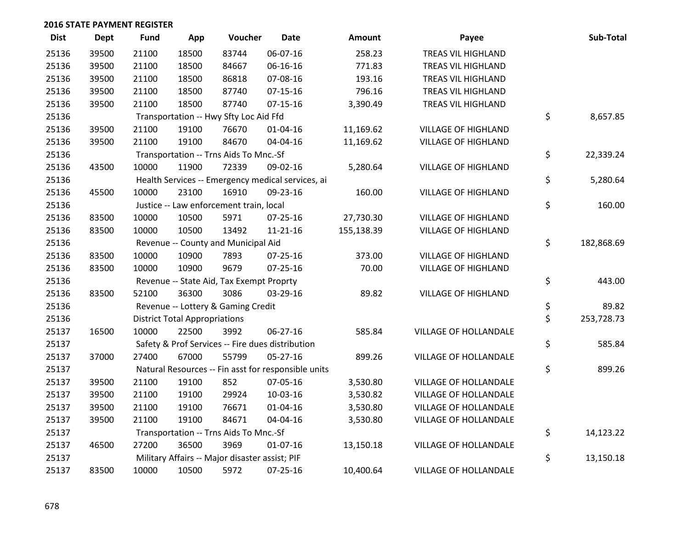| <b>Dist</b> | Dept  | <b>Fund</b> | App                                  | Voucher                                             | <b>Date</b>    | Amount     | Payee                        | Sub-Total        |
|-------------|-------|-------------|--------------------------------------|-----------------------------------------------------|----------------|------------|------------------------------|------------------|
| 25136       | 39500 | 21100       | 18500                                | 83744                                               | 06-07-16       | 258.23     | TREAS VIL HIGHLAND           |                  |
| 25136       | 39500 | 21100       | 18500                                | 84667                                               | 06-16-16       | 771.83     | TREAS VIL HIGHLAND           |                  |
| 25136       | 39500 | 21100       | 18500                                | 86818                                               | 07-08-16       | 193.16     | TREAS VIL HIGHLAND           |                  |
| 25136       | 39500 | 21100       | 18500                                | 87740                                               | $07-15-16$     | 796.16     | TREAS VIL HIGHLAND           |                  |
| 25136       | 39500 | 21100       | 18500                                | 87740                                               | $07-15-16$     | 3,390.49   | TREAS VIL HIGHLAND           |                  |
| 25136       |       |             |                                      | Transportation -- Hwy Sfty Loc Aid Ffd              |                |            |                              | \$<br>8,657.85   |
| 25136       | 39500 | 21100       | 19100                                | 76670                                               | $01 - 04 - 16$ | 11,169.62  | <b>VILLAGE OF HIGHLAND</b>   |                  |
| 25136       | 39500 | 21100       | 19100                                | 84670                                               | 04-04-16       | 11,169.62  | <b>VILLAGE OF HIGHLAND</b>   |                  |
| 25136       |       |             |                                      | Transportation -- Trns Aids To Mnc.-Sf              |                |            |                              | \$<br>22,339.24  |
| 25136       | 43500 | 10000       | 11900                                | 72339                                               | 09-02-16       | 5,280.64   | <b>VILLAGE OF HIGHLAND</b>   |                  |
| 25136       |       |             |                                      | Health Services -- Emergency medical services, ai   |                |            |                              | \$<br>5,280.64   |
| 25136       | 45500 | 10000       | 23100                                | 16910                                               | 09-23-16       | 160.00     | <b>VILLAGE OF HIGHLAND</b>   |                  |
| 25136       |       |             |                                      | Justice -- Law enforcement train, local             |                |            |                              | \$<br>160.00     |
| 25136       | 83500 | 10000       | 10500                                | 5971                                                | 07-25-16       | 27,730.30  | <b>VILLAGE OF HIGHLAND</b>   |                  |
| 25136       | 83500 | 10000       | 10500                                | 13492                                               | 11-21-16       | 155,138.39 | <b>VILLAGE OF HIGHLAND</b>   |                  |
| 25136       |       |             |                                      | Revenue -- County and Municipal Aid                 |                |            |                              | \$<br>182,868.69 |
| 25136       | 83500 | 10000       | 10900                                | 7893                                                | $07 - 25 - 16$ | 373.00     | <b>VILLAGE OF HIGHLAND</b>   |                  |
| 25136       | 83500 | 10000       | 10900                                | 9679                                                | 07-25-16       | 70.00      | <b>VILLAGE OF HIGHLAND</b>   |                  |
| 25136       |       |             |                                      | Revenue -- State Aid, Tax Exempt Proprty            |                |            |                              | \$<br>443.00     |
| 25136       | 83500 | 52100       | 36300                                | 3086                                                | 03-29-16       | 89.82      | <b>VILLAGE OF HIGHLAND</b>   |                  |
| 25136       |       |             |                                      | Revenue -- Lottery & Gaming Credit                  |                |            |                              | \$<br>89.82      |
| 25136       |       |             | <b>District Total Appropriations</b> |                                                     |                |            |                              | \$<br>253,728.73 |
| 25137       | 16500 | 10000       | 22500                                | 3992                                                | 06-27-16       | 585.84     | VILLAGE OF HOLLANDALE        |                  |
| 25137       |       |             |                                      | Safety & Prof Services -- Fire dues distribution    |                |            |                              | \$<br>585.84     |
| 25137       | 37000 | 27400       | 67000                                | 55799                                               | $05 - 27 - 16$ | 899.26     | VILLAGE OF HOLLANDALE        |                  |
| 25137       |       |             |                                      | Natural Resources -- Fin asst for responsible units |                |            |                              | \$<br>899.26     |
| 25137       | 39500 | 21100       | 19100                                | 852                                                 | 07-05-16       | 3,530.80   | VILLAGE OF HOLLANDALE        |                  |
| 25137       | 39500 | 21100       | 19100                                | 29924                                               | 10-03-16       | 3,530.82   | <b>VILLAGE OF HOLLANDALE</b> |                  |
| 25137       | 39500 | 21100       | 19100                                | 76671                                               | $01 - 04 - 16$ | 3,530.80   | VILLAGE OF HOLLANDALE        |                  |
| 25137       | 39500 | 21100       | 19100                                | 84671                                               | 04-04-16       | 3,530.80   | VILLAGE OF HOLLANDALE        |                  |
| 25137       |       |             |                                      | Transportation -- Trns Aids To Mnc.-Sf              |                |            |                              | \$<br>14,123.22  |
| 25137       | 46500 | 27200       | 36500                                | 3969                                                | $01 - 07 - 16$ | 13,150.18  | <b>VILLAGE OF HOLLANDALE</b> |                  |
| 25137       |       |             |                                      | Military Affairs -- Major disaster assist; PIF      |                |            |                              | \$<br>13,150.18  |
| 25137       | 83500 | 10000       | 10500                                | 5972                                                | $07 - 25 - 16$ | 10,400.64  | <b>VILLAGE OF HOLLANDALE</b> |                  |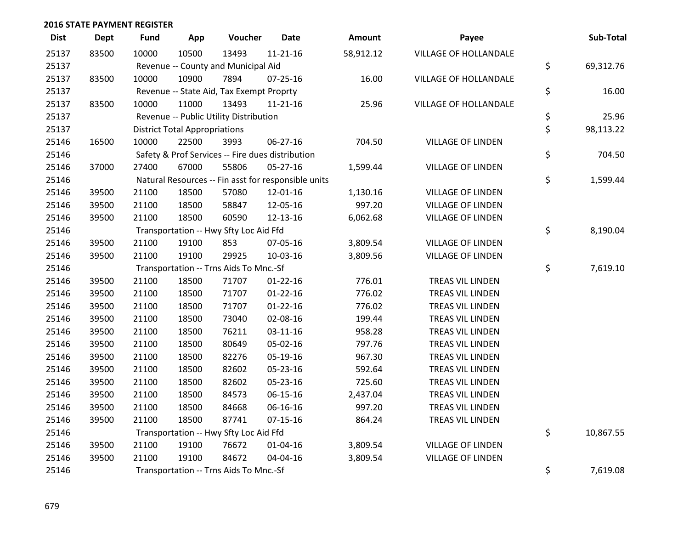| <b>Dist</b> | <b>Dept</b> | <b>Fund</b> | App                                  | Voucher                                             | <b>Date</b>    | Amount    | Payee                        | Sub-Total       |
|-------------|-------------|-------------|--------------------------------------|-----------------------------------------------------|----------------|-----------|------------------------------|-----------------|
| 25137       | 83500       | 10000       | 10500                                | 13493                                               | $11 - 21 - 16$ | 58,912.12 | <b>VILLAGE OF HOLLANDALE</b> |                 |
| 25137       |             |             |                                      | Revenue -- County and Municipal Aid                 |                |           |                              | \$<br>69,312.76 |
| 25137       | 83500       | 10000       | 10900                                | 7894                                                | $07 - 25 - 16$ | 16.00     | VILLAGE OF HOLLANDALE        |                 |
| 25137       |             |             |                                      | Revenue -- State Aid, Tax Exempt Proprty            |                |           |                              | \$<br>16.00     |
| 25137       | 83500       | 10000       | 11000                                | 13493                                               | $11 - 21 - 16$ | 25.96     | <b>VILLAGE OF HOLLANDALE</b> |                 |
| 25137       |             |             |                                      | Revenue -- Public Utility Distribution              |                |           |                              | \$<br>25.96     |
| 25137       |             |             | <b>District Total Appropriations</b> |                                                     |                |           |                              | \$<br>98,113.22 |
| 25146       | 16500       | 10000       | 22500                                | 3993                                                | 06-27-16       | 704.50    | <b>VILLAGE OF LINDEN</b>     |                 |
| 25146       |             |             |                                      | Safety & Prof Services -- Fire dues distribution    |                |           |                              | \$<br>704.50    |
| 25146       | 37000       | 27400       | 67000                                | 55806                                               | $05 - 27 - 16$ | 1,599.44  | <b>VILLAGE OF LINDEN</b>     |                 |
| 25146       |             |             |                                      | Natural Resources -- Fin asst for responsible units |                |           |                              | \$<br>1,599.44  |
| 25146       | 39500       | 21100       | 18500                                | 57080                                               | 12-01-16       | 1,130.16  | <b>VILLAGE OF LINDEN</b>     |                 |
| 25146       | 39500       | 21100       | 18500                                | 58847                                               | 12-05-16       | 997.20    | <b>VILLAGE OF LINDEN</b>     |                 |
| 25146       | 39500       | 21100       | 18500                                | 60590                                               | 12-13-16       | 6,062.68  | <b>VILLAGE OF LINDEN</b>     |                 |
| 25146       |             |             |                                      | Transportation -- Hwy Sfty Loc Aid Ffd              |                |           |                              | \$<br>8,190.04  |
| 25146       | 39500       | 21100       | 19100                                | 853                                                 | 07-05-16       | 3,809.54  | <b>VILLAGE OF LINDEN</b>     |                 |
| 25146       | 39500       | 21100       | 19100                                | 29925                                               | 10-03-16       | 3,809.56  | <b>VILLAGE OF LINDEN</b>     |                 |
| 25146       |             |             |                                      | Transportation -- Trns Aids To Mnc.-Sf              |                |           |                              | \$<br>7,619.10  |
| 25146       | 39500       | 21100       | 18500                                | 71707                                               | $01 - 22 - 16$ | 776.01    | TREAS VIL LINDEN             |                 |
| 25146       | 39500       | 21100       | 18500                                | 71707                                               | $01 - 22 - 16$ | 776.02    | TREAS VIL LINDEN             |                 |
| 25146       | 39500       | 21100       | 18500                                | 71707                                               | $01 - 22 - 16$ | 776.02    | TREAS VIL LINDEN             |                 |
| 25146       | 39500       | 21100       | 18500                                | 73040                                               | 02-08-16       | 199.44    | TREAS VIL LINDEN             |                 |
| 25146       | 39500       | 21100       | 18500                                | 76211                                               | 03-11-16       | 958.28    | TREAS VIL LINDEN             |                 |
| 25146       | 39500       | 21100       | 18500                                | 80649                                               | 05-02-16       | 797.76    | TREAS VIL LINDEN             |                 |
| 25146       | 39500       | 21100       | 18500                                | 82276                                               | 05-19-16       | 967.30    | TREAS VIL LINDEN             |                 |
| 25146       | 39500       | 21100       | 18500                                | 82602                                               | 05-23-16       | 592.64    | TREAS VIL LINDEN             |                 |
| 25146       | 39500       | 21100       | 18500                                | 82602                                               | 05-23-16       | 725.60    | TREAS VIL LINDEN             |                 |
| 25146       | 39500       | 21100       | 18500                                | 84573                                               | 06-15-16       | 2,437.04  | TREAS VIL LINDEN             |                 |
| 25146       | 39500       | 21100       | 18500                                | 84668                                               | 06-16-16       | 997.20    | TREAS VIL LINDEN             |                 |
| 25146       | 39500       | 21100       | 18500                                | 87741                                               | $07 - 15 - 16$ | 864.24    | TREAS VIL LINDEN             |                 |
| 25146       |             |             |                                      | Transportation -- Hwy Sfty Loc Aid Ffd              |                |           |                              | \$<br>10,867.55 |
| 25146       | 39500       | 21100       | 19100                                | 76672                                               | $01 - 04 - 16$ | 3,809.54  | <b>VILLAGE OF LINDEN</b>     |                 |
| 25146       | 39500       | 21100       | 19100                                | 84672                                               | 04-04-16       | 3,809.54  | <b>VILLAGE OF LINDEN</b>     |                 |
| 25146       |             |             |                                      | Transportation -- Trns Aids To Mnc.-Sf              |                |           |                              | \$<br>7,619.08  |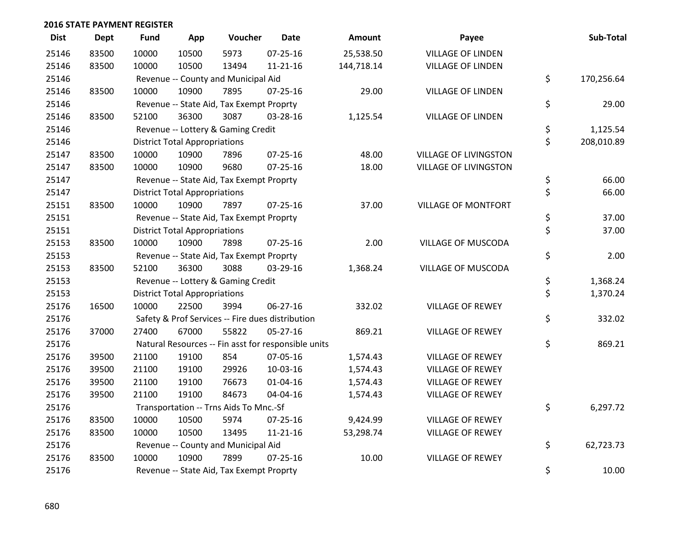| <b>Dist</b> | <b>Dept</b> | <b>Fund</b> | App                                  | Voucher                                             | <b>Date</b>    | <b>Amount</b> | Payee                        | Sub-Total        |
|-------------|-------------|-------------|--------------------------------------|-----------------------------------------------------|----------------|---------------|------------------------------|------------------|
| 25146       | 83500       | 10000       | 10500                                | 5973                                                | $07 - 25 - 16$ | 25,538.50     | <b>VILLAGE OF LINDEN</b>     |                  |
| 25146       | 83500       | 10000       | 10500                                | 13494                                               | 11-21-16       | 144,718.14    | <b>VILLAGE OF LINDEN</b>     |                  |
| 25146       |             |             |                                      | Revenue -- County and Municipal Aid                 |                |               |                              | \$<br>170,256.64 |
| 25146       | 83500       | 10000       | 10900                                | 7895                                                | $07 - 25 - 16$ | 29.00         | <b>VILLAGE OF LINDEN</b>     |                  |
| 25146       |             |             |                                      | Revenue -- State Aid, Tax Exempt Proprty            |                |               |                              | \$<br>29.00      |
| 25146       | 83500       | 52100       | 36300                                | 3087                                                | 03-28-16       | 1,125.54      | <b>VILLAGE OF LINDEN</b>     |                  |
| 25146       |             |             |                                      | Revenue -- Lottery & Gaming Credit                  |                |               |                              | \$<br>1,125.54   |
| 25146       |             |             | <b>District Total Appropriations</b> |                                                     |                |               |                              | \$<br>208,010.89 |
| 25147       | 83500       | 10000       | 10900                                | 7896                                                | 07-25-16       | 48.00         | <b>VILLAGE OF LIVINGSTON</b> |                  |
| 25147       | 83500       | 10000       | 10900                                | 9680                                                | $07 - 25 - 16$ | 18.00         | VILLAGE OF LIVINGSTON        |                  |
| 25147       |             |             |                                      | Revenue -- State Aid, Tax Exempt Proprty            |                |               |                              | \$<br>66.00      |
| 25147       |             |             | <b>District Total Appropriations</b> |                                                     |                |               |                              | \$<br>66.00      |
| 25151       | 83500       | 10000       | 10900                                | 7897                                                | 07-25-16       | 37.00         | <b>VILLAGE OF MONTFORT</b>   |                  |
| 25151       |             |             |                                      | Revenue -- State Aid, Tax Exempt Proprty            |                |               |                              | \$<br>37.00      |
| 25151       |             |             | <b>District Total Appropriations</b> |                                                     |                |               |                              | \$<br>37.00      |
| 25153       | 83500       | 10000       | 10900                                | 7898                                                | $07 - 25 - 16$ | 2.00          | VILLAGE OF MUSCODA           |                  |
| 25153       |             |             |                                      | Revenue -- State Aid, Tax Exempt Proprty            |                |               |                              | \$<br>2.00       |
| 25153       | 83500       | 52100       | 36300                                | 3088                                                | 03-29-16       | 1,368.24      | VILLAGE OF MUSCODA           |                  |
| 25153       |             |             |                                      | Revenue -- Lottery & Gaming Credit                  |                |               |                              | \$<br>1,368.24   |
| 25153       |             |             | <b>District Total Appropriations</b> |                                                     |                |               |                              | \$<br>1,370.24   |
| 25176       | 16500       | 10000       | 22500                                | 3994                                                | $06 - 27 - 16$ | 332.02        | <b>VILLAGE OF REWEY</b>      |                  |
| 25176       |             |             |                                      | Safety & Prof Services -- Fire dues distribution    |                |               |                              | \$<br>332.02     |
| 25176       | 37000       | 27400       | 67000                                | 55822                                               | $05 - 27 - 16$ | 869.21        | <b>VILLAGE OF REWEY</b>      |                  |
| 25176       |             |             |                                      | Natural Resources -- Fin asst for responsible units |                |               |                              | \$<br>869.21     |
| 25176       | 39500       | 21100       | 19100                                | 854                                                 | 07-05-16       | 1,574.43      | <b>VILLAGE OF REWEY</b>      |                  |
| 25176       | 39500       | 21100       | 19100                                | 29926                                               | 10-03-16       | 1,574.43      | <b>VILLAGE OF REWEY</b>      |                  |
| 25176       | 39500       | 21100       | 19100                                | 76673                                               | 01-04-16       | 1,574.43      | <b>VILLAGE OF REWEY</b>      |                  |
| 25176       | 39500       | 21100       | 19100                                | 84673                                               | 04-04-16       | 1,574.43      | VILLAGE OF REWEY             |                  |
| 25176       |             |             |                                      | Transportation -- Trns Aids To Mnc.-Sf              |                |               |                              | \$<br>6,297.72   |
| 25176       | 83500       | 10000       | 10500                                | 5974                                                | $07 - 25 - 16$ | 9,424.99      | <b>VILLAGE OF REWEY</b>      |                  |
| 25176       | 83500       | 10000       | 10500                                | 13495                                               | 11-21-16       | 53,298.74     | <b>VILLAGE OF REWEY</b>      |                  |
| 25176       |             |             |                                      | Revenue -- County and Municipal Aid                 |                |               |                              | \$<br>62,723.73  |
| 25176       | 83500       | 10000       | 10900                                | 7899                                                | $07 - 25 - 16$ | 10.00         | <b>VILLAGE OF REWEY</b>      |                  |
| 25176       |             |             |                                      | Revenue -- State Aid, Tax Exempt Proprty            |                |               |                              | \$<br>10.00      |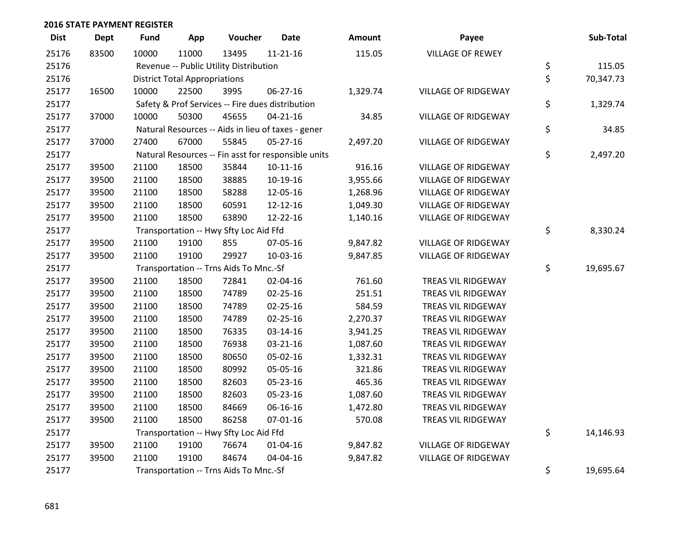| <b>Dist</b> | <b>Dept</b> | <b>Fund</b>                            | App   | Voucher                                | <b>Date</b>                                         | Amount   | Payee                      |    | Sub-Total |
|-------------|-------------|----------------------------------------|-------|----------------------------------------|-----------------------------------------------------|----------|----------------------------|----|-----------|
| 25176       | 83500       | 10000                                  | 11000 | 13495                                  | $11 - 21 - 16$                                      | 115.05   | <b>VILLAGE OF REWEY</b>    |    |           |
| 25176       |             |                                        |       | Revenue -- Public Utility Distribution |                                                     |          |                            | \$ | 115.05    |
| 25176       |             | <b>District Total Appropriations</b>   | \$    | 70,347.73                              |                                                     |          |                            |    |           |
| 25177       | 16500       | 10000                                  | 22500 | 3995                                   | 06-27-16                                            | 1,329.74 | <b>VILLAGE OF RIDGEWAY</b> |    |           |
| 25177       |             |                                        |       |                                        | Safety & Prof Services -- Fire dues distribution    |          |                            | \$ | 1,329.74  |
| 25177       | 37000       | 10000                                  | 50300 | 45655                                  | $04 - 21 - 16$                                      | 34.85    | <b>VILLAGE OF RIDGEWAY</b> |    |           |
| 25177       |             |                                        |       |                                        | Natural Resources -- Aids in lieu of taxes - gener  |          |                            | \$ | 34.85     |
| 25177       | 37000       | 27400                                  | 67000 | 55845                                  | $05 - 27 - 16$                                      | 2,497.20 | <b>VILLAGE OF RIDGEWAY</b> |    |           |
| 25177       |             |                                        |       |                                        | Natural Resources -- Fin asst for responsible units |          |                            | \$ | 2,497.20  |
| 25177       | 39500       | 21100                                  | 18500 | 35844                                  | $10 - 11 - 16$                                      | 916.16   | <b>VILLAGE OF RIDGEWAY</b> |    |           |
| 25177       | 39500       | 21100                                  | 18500 | 38885                                  | $10-19-16$                                          | 3,955.66 | <b>VILLAGE OF RIDGEWAY</b> |    |           |
| 25177       | 39500       | 21100                                  | 18500 | 58288                                  | 12-05-16                                            | 1,268.96 | <b>VILLAGE OF RIDGEWAY</b> |    |           |
| 25177       | 39500       | 21100                                  | 18500 | 60591                                  | 12-12-16                                            | 1,049.30 | <b>VILLAGE OF RIDGEWAY</b> |    |           |
| 25177       | 39500       | 21100                                  | 18500 | 63890                                  | 12-22-16                                            | 1,140.16 | <b>VILLAGE OF RIDGEWAY</b> |    |           |
| 25177       |             |                                        |       | Transportation -- Hwy Sfty Loc Aid Ffd |                                                     |          |                            | \$ | 8,330.24  |
| 25177       | 39500       | 21100                                  | 19100 | 855                                    | 07-05-16                                            | 9,847.82 | <b>VILLAGE OF RIDGEWAY</b> |    |           |
| 25177       | 39500       | 21100                                  | 19100 | 29927                                  | 10-03-16                                            | 9,847.85 | <b>VILLAGE OF RIDGEWAY</b> |    |           |
| 25177       |             | Transportation -- Trns Aids To Mnc.-Sf | \$    | 19,695.67                              |                                                     |          |                            |    |           |
| 25177       | 39500       | 21100                                  | 18500 | 72841                                  | 02-04-16                                            | 761.60   | TREAS VIL RIDGEWAY         |    |           |
| 25177       | 39500       | 21100                                  | 18500 | 74789                                  | 02-25-16                                            | 251.51   | TREAS VIL RIDGEWAY         |    |           |
| 25177       | 39500       | 21100                                  | 18500 | 74789                                  | 02-25-16                                            | 584.59   | TREAS VIL RIDGEWAY         |    |           |
| 25177       | 39500       | 21100                                  | 18500 | 74789                                  | $02 - 25 - 16$                                      | 2,270.37 | TREAS VIL RIDGEWAY         |    |           |
| 25177       | 39500       | 21100                                  | 18500 | 76335                                  | 03-14-16                                            | 3,941.25 | TREAS VIL RIDGEWAY         |    |           |
| 25177       | 39500       | 21100                                  | 18500 | 76938                                  | 03-21-16                                            | 1,087.60 | TREAS VIL RIDGEWAY         |    |           |
| 25177       | 39500       | 21100                                  | 18500 | 80650                                  | 05-02-16                                            | 1,332.31 | TREAS VIL RIDGEWAY         |    |           |
| 25177       | 39500       | 21100                                  | 18500 | 80992                                  | 05-05-16                                            | 321.86   | TREAS VIL RIDGEWAY         |    |           |
| 25177       | 39500       | 21100                                  | 18500 | 82603                                  | 05-23-16                                            | 465.36   | TREAS VIL RIDGEWAY         |    |           |
| 25177       | 39500       | 21100                                  | 18500 | 82603                                  | 05-23-16                                            | 1,087.60 | TREAS VIL RIDGEWAY         |    |           |
| 25177       | 39500       | 21100                                  | 18500 | 84669                                  | 06-16-16                                            | 1,472.80 | TREAS VIL RIDGEWAY         |    |           |
| 25177       | 39500       | 21100                                  | 18500 | 86258                                  | $07 - 01 - 16$                                      | 570.08   | TREAS VIL RIDGEWAY         |    |           |
| 25177       |             | Transportation -- Hwy Sfty Loc Aid Ffd | \$    | 14,146.93                              |                                                     |          |                            |    |           |
| 25177       | 39500       | 21100                                  | 19100 | 76674                                  | $01 - 04 - 16$                                      | 9,847.82 | <b>VILLAGE OF RIDGEWAY</b> |    |           |
| 25177       | 39500       | 21100                                  | 19100 | 84674                                  | 04-04-16                                            | 9,847.82 | <b>VILLAGE OF RIDGEWAY</b> |    |           |
| 25177       |             | Transportation -- Trns Aids To Mnc.-Sf |       |                                        |                                                     |          |                            |    | 19,695.64 |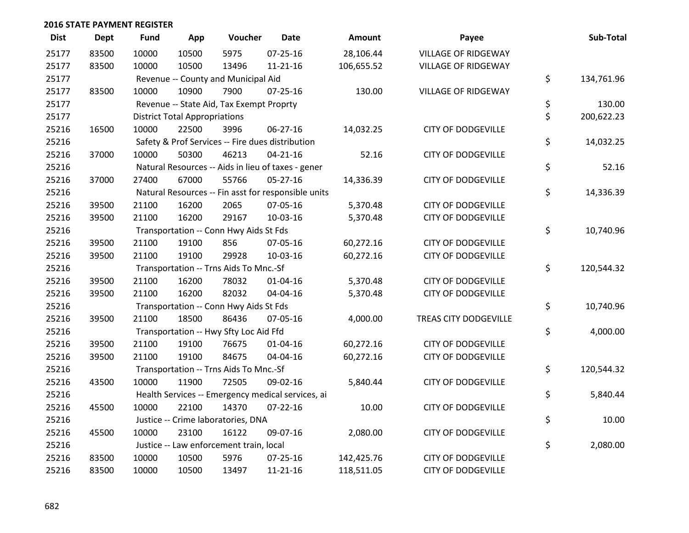| <b>Dist</b> | <b>Dept</b> | <b>Fund</b>                            | App                                               | Voucher                                             | <b>Date</b>    | <b>Amount</b> | Payee                      |    | Sub-Total  |  |
|-------------|-------------|----------------------------------------|---------------------------------------------------|-----------------------------------------------------|----------------|---------------|----------------------------|----|------------|--|
| 25177       | 83500       | 10000                                  | 10500                                             | 5975                                                | $07 - 25 - 16$ | 28,106.44     | <b>VILLAGE OF RIDGEWAY</b> |    |            |  |
| 25177       | 83500       | 10000                                  | 10500                                             | 13496                                               | $11 - 21 - 16$ | 106,655.52    | <b>VILLAGE OF RIDGEWAY</b> |    |            |  |
| 25177       |             |                                        | Revenue -- County and Municipal Aid               |                                                     |                |               |                            |    |            |  |
| 25177       | 83500       | 10000                                  | 10900                                             | 7900                                                | $07 - 25 - 16$ | 130.00        | <b>VILLAGE OF RIDGEWAY</b> |    |            |  |
| 25177       |             |                                        |                                                   | Revenue -- State Aid, Tax Exempt Proprty            |                |               |                            | \$ | 130.00     |  |
| 25177       |             |                                        | <b>District Total Appropriations</b>              |                                                     |                |               |                            | \$ | 200,622.23 |  |
| 25216       | 16500       | 10000                                  | 22500                                             | 3996                                                | $06 - 27 - 16$ | 14,032.25     | <b>CITY OF DODGEVILLE</b>  |    |            |  |
| 25216       |             |                                        |                                                   | Safety & Prof Services -- Fire dues distribution    |                |               |                            | \$ | 14,032.25  |  |
| 25216       | 37000       | 10000                                  | 50300                                             | 46213                                               | $04 - 21 - 16$ | 52.16         | <b>CITY OF DODGEVILLE</b>  |    |            |  |
| 25216       |             |                                        |                                                   | Natural Resources -- Aids in lieu of taxes - gener  |                |               |                            | \$ | 52.16      |  |
| 25216       | 37000       | 27400                                  | 67000                                             | 55766                                               | $05 - 27 - 16$ | 14,336.39     | <b>CITY OF DODGEVILLE</b>  |    |            |  |
| 25216       |             |                                        |                                                   | Natural Resources -- Fin asst for responsible units |                |               |                            | \$ | 14,336.39  |  |
| 25216       | 39500       | 21100                                  | 16200                                             | 2065                                                | 07-05-16       | 5,370.48      | <b>CITY OF DODGEVILLE</b>  |    |            |  |
| 25216       | 39500       | 21100                                  | 16200                                             | 29167                                               | 10-03-16       | 5,370.48      | <b>CITY OF DODGEVILLE</b>  |    |            |  |
| 25216       |             |                                        |                                                   | Transportation -- Conn Hwy Aids St Fds              |                |               |                            | \$ | 10,740.96  |  |
| 25216       | 39500       | 21100                                  | 19100                                             | 856                                                 | 07-05-16       | 60,272.16     | <b>CITY OF DODGEVILLE</b>  |    |            |  |
| 25216       | 39500       | 21100                                  | 19100                                             | 29928                                               | 10-03-16       | 60,272.16     | <b>CITY OF DODGEVILLE</b>  | \$ |            |  |
| 25216       |             | Transportation -- Trns Aids To Mnc.-Sf |                                                   |                                                     |                |               |                            |    | 120,544.32 |  |
| 25216       | 39500       | 21100                                  | 16200                                             | 78032                                               | $01 - 04 - 16$ | 5,370.48      | <b>CITY OF DODGEVILLE</b>  |    |            |  |
| 25216       | 39500       | 21100                                  | 16200                                             | 82032                                               | 04-04-16       | 5,370.48      | <b>CITY OF DODGEVILLE</b>  |    |            |  |
| 25216       |             |                                        |                                                   | Transportation -- Conn Hwy Aids St Fds              |                |               |                            | \$ | 10,740.96  |  |
| 25216       | 39500       | 21100                                  | 18500                                             | 86436                                               | 07-05-16       | 4,000.00      | TREAS CITY DODGEVILLE      |    |            |  |
| 25216       |             |                                        |                                                   | Transportation -- Hwy Sfty Loc Aid Ffd              |                |               |                            | \$ | 4,000.00   |  |
| 25216       | 39500       | 21100                                  | 19100                                             | 76675                                               | 01-04-16       | 60,272.16     | <b>CITY OF DODGEVILLE</b>  |    |            |  |
| 25216       | 39500       | 21100                                  | 19100                                             | 84675                                               | 04-04-16       | 60,272.16     | <b>CITY OF DODGEVILLE</b>  | \$ |            |  |
| 25216       |             | Transportation -- Trns Aids To Mnc.-Sf |                                                   |                                                     |                |               |                            |    | 120,544.32 |  |
| 25216       | 43500       | 10000                                  | 11900                                             | 72505                                               | 09-02-16       | 5,840.44      | <b>CITY OF DODGEVILLE</b>  | \$ | 5,840.44   |  |
| 25216       |             |                                        | Health Services -- Emergency medical services, ai |                                                     |                |               |                            |    |            |  |
| 25216       | 45500       | 10000                                  | 22100                                             | 14370                                               | $07 - 22 - 16$ | 10.00         | <b>CITY OF DODGEVILLE</b>  | \$ |            |  |
| 25216       |             | Justice -- Crime laboratories, DNA     |                                                   |                                                     |                |               |                            |    | 10.00      |  |
| 25216       | 45500       | 10000                                  | 23100                                             | 16122                                               | 09-07-16       | 2,080.00      | <b>CITY OF DODGEVILLE</b>  |    |            |  |
| 25216       |             |                                        |                                                   | Justice -- Law enforcement train, local             |                |               |                            | \$ | 2,080.00   |  |
| 25216       | 83500       | 10000                                  | 10500                                             | 5976                                                | 07-25-16       | 142,425.76    | <b>CITY OF DODGEVILLE</b>  |    |            |  |
| 25216       | 83500       | 10000                                  | 10500                                             | 13497                                               | $11 - 21 - 16$ | 118,511.05    | <b>CITY OF DODGEVILLE</b>  |    |            |  |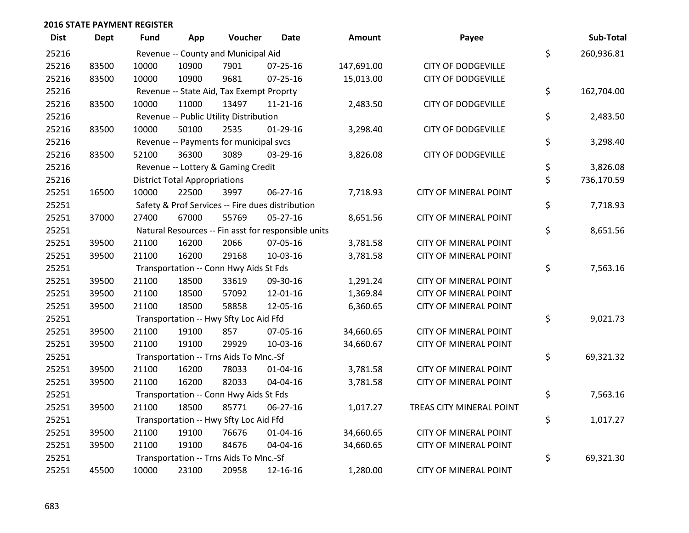| <b>Dist</b> | <b>Dept</b> | Fund                                   | App                                  | Voucher                                  | <b>Date</b>                                         | <b>Amount</b> | Payee                        |    | Sub-Total  |
|-------------|-------------|----------------------------------------|--------------------------------------|------------------------------------------|-----------------------------------------------------|---------------|------------------------------|----|------------|
| 25216       |             | Revenue -- County and Municipal Aid    |                                      |                                          |                                                     |               |                              |    | 260,936.81 |
| 25216       | 83500       | 10000                                  | 10900                                | 7901                                     | $07 - 25 - 16$                                      | 147,691.00    | <b>CITY OF DODGEVILLE</b>    | \$ |            |
| 25216       | 83500       | 10000                                  | 10900                                | 9681                                     | $07 - 25 - 16$                                      | 15,013.00     | <b>CITY OF DODGEVILLE</b>    |    |            |
| 25216       |             |                                        |                                      | Revenue -- State Aid, Tax Exempt Proprty |                                                     |               |                              | \$ | 162,704.00 |
| 25216       | 83500       | 10000                                  | 11000                                | 13497                                    | $11 - 21 - 16$                                      | 2,483.50      | <b>CITY OF DODGEVILLE</b>    |    |            |
| 25216       |             |                                        |                                      | Revenue -- Public Utility Distribution   |                                                     |               |                              | \$ | 2,483.50   |
| 25216       | 83500       | 10000                                  | 50100                                | 2535                                     | $01-29-16$                                          | 3,298.40      | <b>CITY OF DODGEVILLE</b>    |    |            |
| 25216       |             |                                        |                                      | Revenue -- Payments for municipal svcs   |                                                     |               |                              | \$ | 3,298.40   |
| 25216       | 83500       | 52100                                  | 36300                                | 3089                                     | 03-29-16                                            | 3,826.08      | <b>CITY OF DODGEVILLE</b>    |    |            |
| 25216       |             |                                        |                                      | Revenue -- Lottery & Gaming Credit       |                                                     |               |                              | \$ | 3,826.08   |
| 25216       |             |                                        | <b>District Total Appropriations</b> |                                          |                                                     |               |                              | \$ | 736,170.59 |
| 25251       | 16500       | 10000                                  | 22500                                | 3997                                     | 06-27-16                                            | 7,718.93      | <b>CITY OF MINERAL POINT</b> |    |            |
| 25251       |             |                                        |                                      |                                          | Safety & Prof Services -- Fire dues distribution    |               |                              | \$ | 7,718.93   |
| 25251       | 37000       | 27400                                  | 67000                                | 55769                                    | 05-27-16                                            | 8,651.56      | <b>CITY OF MINERAL POINT</b> |    |            |
| 25251       |             |                                        |                                      |                                          | Natural Resources -- Fin asst for responsible units |               |                              | \$ | 8,651.56   |
| 25251       | 39500       | 21100                                  | 16200                                | 2066                                     | 07-05-16                                            | 3,781.58      | <b>CITY OF MINERAL POINT</b> |    |            |
| 25251       | 39500       | 21100                                  | 16200                                | 29168                                    | 10-03-16                                            | 3,781.58      | <b>CITY OF MINERAL POINT</b> |    |            |
| 25251       |             |                                        |                                      | Transportation -- Conn Hwy Aids St Fds   |                                                     |               |                              | \$ | 7,563.16   |
| 25251       | 39500       | 21100                                  | 18500                                | 33619                                    | 09-30-16                                            | 1,291.24      | <b>CITY OF MINERAL POINT</b> |    |            |
| 25251       | 39500       | 21100                                  | 18500                                | 57092                                    | 12-01-16                                            | 1,369.84      | <b>CITY OF MINERAL POINT</b> |    |            |
| 25251       | 39500       | 21100                                  | 18500                                | 58858                                    | 12-05-16                                            | 6,360.65      | <b>CITY OF MINERAL POINT</b> |    |            |
| 25251       |             |                                        |                                      | Transportation -- Hwy Sfty Loc Aid Ffd   |                                                     |               |                              | \$ | 9,021.73   |
| 25251       | 39500       | 21100                                  | 19100                                | 857                                      | 07-05-16                                            | 34,660.65     | <b>CITY OF MINERAL POINT</b> |    |            |
| 25251       | 39500       | 21100                                  | 19100                                | 29929                                    | 10-03-16                                            | 34,660.67     | <b>CITY OF MINERAL POINT</b> |    |            |
| 25251       |             |                                        |                                      | Transportation -- Trns Aids To Mnc.-Sf   |                                                     |               |                              | \$ | 69,321.32  |
| 25251       | 39500       | 21100                                  | 16200                                | 78033                                    | $01 - 04 - 16$                                      | 3,781.58      | <b>CITY OF MINERAL POINT</b> |    |            |
| 25251       | 39500       | 21100                                  | 16200                                | 82033                                    | 04-04-16                                            | 3,781.58      | <b>CITY OF MINERAL POINT</b> |    |            |
| 25251       |             | Transportation -- Conn Hwy Aids St Fds |                                      |                                          |                                                     |               |                              |    | 7,563.16   |
| 25251       | 39500       | 21100                                  | 18500                                | 85771                                    | 06-27-16                                            | 1,017.27      | TREAS CITY MINERAL POINT     |    |            |
| 25251       |             | Transportation -- Hwy Sfty Loc Aid Ffd |                                      |                                          |                                                     |               |                              |    | 1,017.27   |
| 25251       | 39500       | 21100                                  | 19100                                | 76676                                    | 01-04-16                                            | 34,660.65     | <b>CITY OF MINERAL POINT</b> |    |            |
| 25251       | 39500       | 21100                                  | 19100                                | 84676                                    | 04-04-16                                            | 34,660.65     | <b>CITY OF MINERAL POINT</b> |    |            |
| 25251       |             |                                        |                                      | Transportation -- Trns Aids To Mnc.-Sf   |                                                     |               |                              | \$ | 69,321.30  |
| 25251       | 45500       | 10000                                  | 23100                                | 20958                                    | 12-16-16                                            | 1,280.00      | <b>CITY OF MINERAL POINT</b> |    |            |